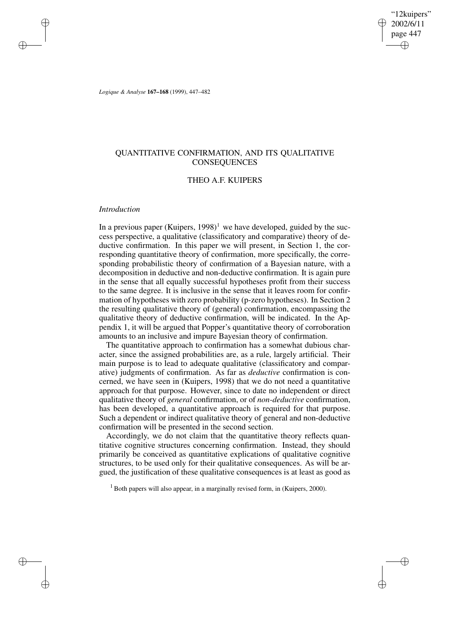"12kuipers" 2002/6/11 page 447 ✐ ✐

✐

✐

*Logique & Analyse* **167–168** (1999), 447–482

# QUANTITATIVE CONFIRMATION, AND ITS QUALITATIVE **CONSEQUENCES**

# THEO A.F. KUIPERS

# *Introduction*

✐

✐

✐

✐

In a previous paper (Kuipers,  $1998$ )<sup>1</sup> we have developed, guided by the success perspective, a qualitative (classificatory and comparative) theory of deductive confirmation. In this paper we will present, in Section 1, the corresponding quantitative theory of confirmation, more specifically, the corresponding probabilistic theory of confirmation of a Bayesian nature, with a decomposition in deductive and non-deductive confirmation. It is again pure in the sense that all equally successful hypotheses profit from their success to the same degree. It is inclusive in the sense that it leaves room for confirmation of hypotheses with zero probability (p-zero hypotheses). In Section 2 the resulting qualitative theory of (general) confirmation, encompassing the qualitative theory of deductive confirmation, will be indicated. In the Appendix 1, it will be argued that Popper's quantitative theory of corroboration amounts to an inclusive and impure Bayesian theory of confirmation.

The quantitative approach to confirmation has a somewhat dubious character, since the assigned probabilities are, as a rule, largely artificial. Their main purpose is to lead to adequate qualitative (classificatory and comparative) judgments of confirmation. As far as *deductive* confirmation is concerned, we have seen in (Kuipers, 1998) that we do not need a quantitative approach for that purpose. However, since to date no independent or direct qualitative theory of *general* confirmation, or of *non-deductive* confirmation, has been developed, a quantitative approach is required for that purpose. Such a dependent or indirect qualitative theory of general and non-deductive confirmation will be presented in the second section.

Accordingly, we do not claim that the quantitative theory reflects quantitative cognitive structures concerning confirmation. Instead, they should primarily be conceived as quantitative explications of qualitative cognitive structures, to be used only for their qualitative consequences. As will be argued, the justification of these qualitative consequences is at least as good as

 $1$  Both papers will also appear, in a marginally revised form, in (Kuipers, 2000).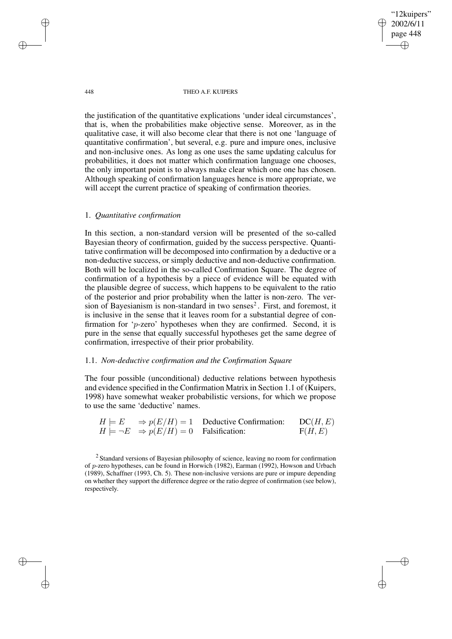"12kuipers" 2002/6/11 page 448 ✐ ✐

✐

✐

### 448 THEO A.F. KUIPERS

the justification of the quantitative explications 'under ideal circumstances', that is, when the probabilities make objective sense. Moreover, as in the qualitative case, it will also become clear that there is not one 'language of quantitative confirmation', but several, e.g. pure and impure ones, inclusive and non-inclusive ones. As long as one uses the same updating calculus for probabilities, it does not matter which confirmation language one chooses, the only important point is to always make clear which one one has chosen. Although speaking of confirmation languages hence is more appropriate, we will accept the current practice of speaking of confirmation theories.

# 1. *Quantitative confirmation*

In this section, a non-standard version will be presented of the so-called Bayesian theory of confirmation, guided by the success perspective. Quantitative confirmation will be decomposed into confirmation by a deductive or a non-deductive success, or simply deductive and non-deductive confirmation. Both will be localized in the so-called Confirmation Square. The degree of confirmation of a hypothesis by a piece of evidence will be equated with the plausible degree of success, which happens to be equivalent to the ratio of the posterior and prior probability when the latter is non-zero. The version of Bayesianism is non-standard in two senses<sup>2</sup>. First, and foremost, it is inclusive in the sense that it leaves room for a substantial degree of confirmation for 'p-zero' hypotheses when they are confirmed. Second, it is pure in the sense that equally successful hypotheses get the same degree of confirmation, irrespective of their prior probability.

# 1.1. *Non-deductive confirmation and the Confirmation Square*

The four possible (unconditional) deductive relations between hypothesis and evidence specified in the Confirmation Matrix in Section 1.1 of (Kuipers, 1998) have somewhat weaker probabilistic versions, for which we propose to use the same 'deductive' names.

$$
H \models E \Rightarrow p(E/H) = 1
$$
 Deductive Conformation: DC(*H, E*)  

$$
H \models \neg E \Rightarrow p(E/H) = 0
$$
 Falsification: F(*H, E*)

 $2$  Standard versions of Bayesian philosophy of science, leaving no room for confirmation of p-zero hypotheses, can be found in Horwich (1982), Earman (1992), Howson and Urbach (1989), Schaffner (1993, Ch. 5). These non-inclusive versions are pure or impure depending on whether they support the difference degree or the ratio degree of confirmation (see below), respectively.

✐

✐

✐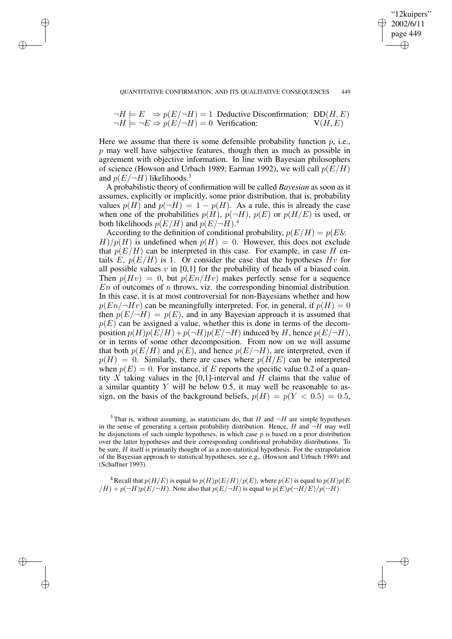✐

✐

✐

"12kuipers" 2002/6/11 page 449

✐

✐

✐

✐

$$
\neg H \models E \Rightarrow p(E/\neg H) = 1
$$
 Deductive Disconfirmation: DD(H, E)  

$$
\neg H \models \neg E \Rightarrow p(E/\neg H) = 0
$$
 Verification: V(H, E)

Here we assume that there is some defensible probability function  $p$ , i.e.,  $p$  may well have subjective features, though then as much as possible in agreement with objective information. In line with Bayesian philosophers of science (Howson and Urbach 1989; Earman 1992), we will call  $p(E/H)$ and  $p(E/\neg H)$  likelihoods.<sup>3</sup>

A probabilistic theory of confirmation will be called *Bayesian* as soon as it assumes, explicitly or implicitly, some prior distribution, that is, probability values  $p(H)$  and  $p(\neg H) = 1 - p(H)$ . As a rule, this is already the case when one of the probabilities  $p(H)$ ,  $p(\neg H)$ ,  $p(E)$  or  $p(H/E)$  is used, or both likelihoods  $p(E/H)$  and  $p(E/\neg H).$ <sup>4</sup>

According to the definition of conditional probability,  $p(E/H) = p(E\&)$  $H/p(H)$  is undefined when  $p(H) = 0$ . However, this does not exclude that  $p(E/H)$  can be interpreted in this case. For example, in case H entails E,  $p(E/H)$  is 1. Or consider the case that the hypotheses Hv for all possible values  $v$  in [0,1] for the probability of heads of a biased coin. Then  $p(Hv) = 0$ , but  $p(En/Hv)$  makes perfectly sense for a sequence  $En$  of outcomes of n throws, viz. the corresponding binomial distribution. In this case, it is at most controversial for non-Bayesians whether and how  $p(En/\neg Hv)$  can be meaningfully interpreted. For, in general, if  $p(H) = 0$ then  $p(E/\neg H) = p(E)$ , and in any Bayesian approach it is assumed that  $p(E)$  can be assigned a value, whether this is done in terms of the decomposition  $p(H)p(E/H)+p(\neg H)p(E/\neg H)$  induced by H, hence  $p(E/\neg H)$ , or in terms of some other decomposition. From now on we will assume that both  $p(E/H)$  and  $p(E)$ , and hence  $p(E/\neg H)$ , are interpreted, even if  $p(H) = 0$ . Similarly, there are cases where  $p(H/E)$  can be interpreted when  $p(E) = 0$ . For instance, if E reports the specific value 0.2 of a quantity X taking values in the  $[0,1]$ -interval and H claims that the value of a similar quantity  $Y$  will be below 0.5, it may well be reasonable to assign, on the basis of the background beliefs,  $p(H) = p(Y < 0.5) = 0.5$ ,

<sup>3</sup> That is, without assuming, as statisticians do, that H and  $\neg H$  are simple hypotheses in the sense of generating a certain probability distribution. Hence, H and  $\neg H$  may well be disjunctions of such simple hypotheses, in which case  $p$  is based on a prior distribution over the latter hypotheses and their corresponding conditional probability distributions. To be sure,  $H$  itself is primarily thought of as a non-statistical hypothesis. For the extrapolation of the Bayesian approach to statistical hypotheses, see e.g., (Howson and Urbach 1989) and (Schaffner 1993).

<sup>4</sup> Recall that  $p(H/E)$  is equal to  $p(H)p(E/H)/p(E)$ , where  $p(E)$  is equal to  $p(H)p(E)$  $/(H) + p(-H)p(E/\neg H)$ . Note also that  $p(E/\neg H)$  is equal to  $p(E)p(\neg H/E)/p(\neg H)$ .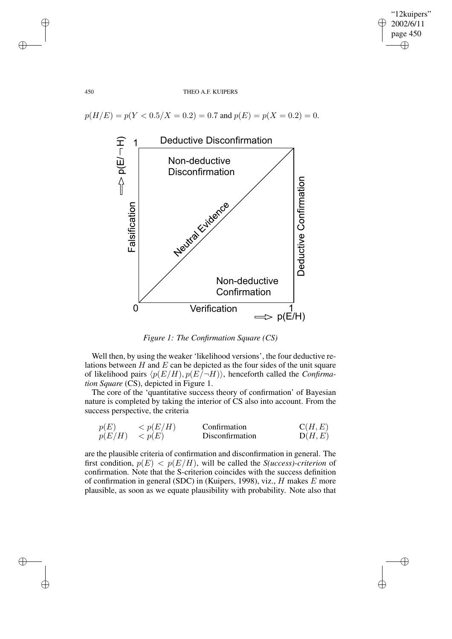✐

### 450 THEO A.F. KUIPERS

$$
p(H/E) = p(Y < 0.5 / X = 0.2) = 0.7
$$
 and  $p(E) = p(X = 0.2) = 0$ .



*Figure 1: The Confirmation Square (CS)*

Well then, by using the weaker 'likelihood versions', the four deductive relations between  $H$  and  $E$  can be depicted as the four sides of the unit square of likelihood pairs  $\langle p(E/H), p(E/\neg H) \rangle$ , henceforth called the *Confirmation Square* (CS), depicted in Figure 1.

The core of the 'quantitative success theory of confirmation' of Bayesian nature is completed by taking the interior of CS also into account. From the success perspective, the criteria

| p(E)   | $\langle p(E/H)$       | Confirmation    | C(H,E) |
|--------|------------------------|-----------------|--------|
| p(E/H) | $\langle p(E) \rangle$ | Disconfirmation | D(H,E) |

are the plausible criteria of confirmation and disconfirmation in general. The first condition,  $p(E) < p(E/H)$ , will be called the *S*(*uccess*)-*criterion* of confirmation. Note that the S-criterion coincides with the success definition of confirmation in general (SDC) in (Kuipers, 1998), viz., H makes E more plausible, as soon as we equate plausibility with probability. Note also that

✐

✐

✐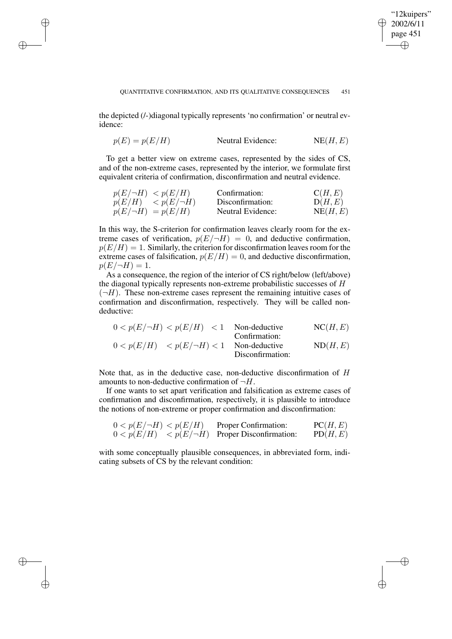✐

### QUANTITATIVE CONFIRMATION, AND ITS QUALITATIVE CONSEQUENCES 451

the depicted (/-)diagonal typically represents 'no confirmation' or neutral evidence:

✐

✐

✐

✐

 $p(E) = p(E/H)$  Neutral Evidence: NE(*H*, *E*)

To get a better view on extreme cases, represented by the sides of CS, and of the non-extreme cases, represented by the interior, we formulate first equivalent criteria of confirmation, disconfirmation and neutral evidence.

| $p(E/\neg H) < p(E/H)$     | Confirmation:     | C(H,E)   |
|----------------------------|-------------------|----------|
| $p(E/H)$ $\lt p(E/\neg H)$ | Disconfirmation:  | D(H,E)   |
| $p(E/\neg H) = p(E/H)$     | Neutral Evidence: | NE(H, E) |

In this way, the S-criterion for confirmation leaves clearly room for the extreme cases of verification,  $p(E/\neg H) = 0$ , and deductive confirmation,  $p(E/H) = 1$ . Similarly, the criterion for disconfirmation leaves room for the extreme cases of falsification,  $p(E/H) = 0$ , and deductive disconfirmation,  $p(E/\neg H) = 1.$ 

As a consequence, the region of the interior of CS right/below (left/above) the diagonal typically represents non-extreme probabilistic successes of H  $(\neg H)$ . These non-extreme cases represent the remaining intuitive cases of confirmation and disconfirmation, respectively. They will be called nondeductive:

| $0 < p(E/\neg H) < p(E/H) < 1$ Non-deductive   |                  | NC(H,E)  |
|------------------------------------------------|------------------|----------|
|                                                | Confirmation:    |          |
| $0 < p(E/H)$ $< p(E/\neg H) < 1$ Non-deductive |                  | ND(H, E) |
|                                                | Disconfirmation: |          |

Note that, as in the deductive case, non-deductive disconfirmation of H amounts to non-deductive confirmation of  $\neg H$ .

If one wants to set apart verification and falsification as extreme cases of confirmation and disconfirmation, respectively, it is plausible to introduce the notions of non-extreme or proper confirmation and disconfirmation:

| $0 < p(E/\neg H) < p(E/H)$ | <b>Proper Confirmation:</b>                        | PC(H, E) |
|----------------------------|----------------------------------------------------|----------|
|                            | $0 < p(E/H) < p(E/\neg H)$ Proper Disconfirmation: | PD(H, E) |

with some conceptually plausible consequences, in abbreviated form, indicating subsets of CS by the relevant condition: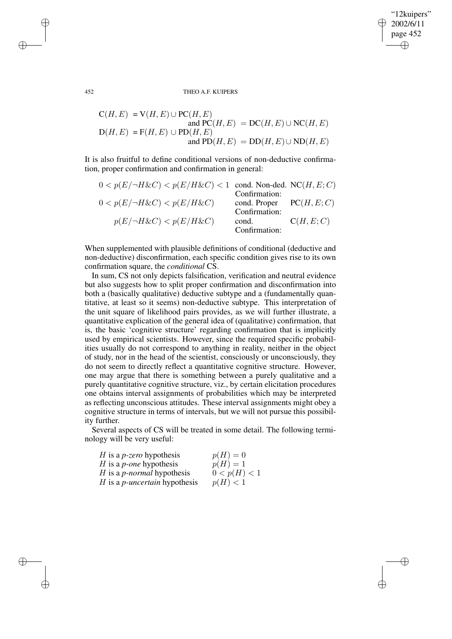"12kuipers" 2002/6/11 page 452 ✐ ✐

✐

✐

452 THEO A.F. KUIPERS

$$
C(H, E) = V(H, E) \cup PC(H, E)
$$
  
and PC(H, E) = DC(H, E) \cup NC(H, E)  

$$
D(H, E) = F(H, E) \cup PD(H, E)
$$
  
and 
$$
PD(H, E) = DD(H, E) \cup ND(H, E)
$$

It is also fruitful to define conditional versions of non-deductive confirmation, proper confirmation and confirmation in general:

| $0 < p(E/\neg H\&C) < p(E/H\&C) < 1$ cond. Non-ded. NC( <i>H</i> , <i>E</i> ; <i>C</i> ) |                            |            |
|------------------------------------------------------------------------------------------|----------------------------|------------|
|                                                                                          | Confirmation:              |            |
| $0 < p(E/\neg H\&C) < p(E/H\&C)$                                                         | cond. Proper $PC(H, E; C)$ |            |
|                                                                                          | Confirmation:              |            |
| $p(E/\neg H\&C) < p(E/H\&C)$                                                             | cond.                      | C(H, E; C) |
|                                                                                          | Confirmation:              |            |

When supplemented with plausible definitions of conditional (deductive and non-deductive) disconfirmation, each specific condition gives rise to its own confirmation square, the *conditional* CS.

In sum, CS not only depicts falsification, verification and neutral evidence but also suggests how to split proper confirmation and disconfirmation into both a (basically qualitative) deductive subtype and a (fundamentally quantitative, at least so it seems) non-deductive subtype. This interpretation of the unit square of likelihood pairs provides, as we will further illustrate, a quantitative explication of the general idea of (qualitative) confirmation, that is, the basic 'cognitive structure' regarding confirmation that is implicitly used by empirical scientists. However, since the required specific probabilities usually do not correspond to anything in reality, neither in the object of study, nor in the head of the scientist, consciously or unconsciously, they do not seem to directly reflect a quantitative cognitive structure. However, one may argue that there is something between a purely qualitative and a purely quantitative cognitive structure, viz., by certain elicitation procedures one obtains interval assignments of probabilities which may be interpreted as reflecting unconscious attitudes. These interval assignments might obey a cognitive structure in terms of intervals, but we will not pursue this possibility further.

Several aspects of CS will be treated in some detail. The following terminology will be very useful:

| $H$ is a <i>p-zero</i> hypothesis                    | $p(H)=0$     |
|------------------------------------------------------|--------------|
| H is a <i>p</i> -one hypothesis                      | $p(H)=1$     |
| H is a <i>p-normal</i> hypothesis                    | 0 < p(H) < 1 |
| <i>H</i> is a <i>p</i> - <i>uncertain</i> hypothesis | p(H) < 1     |

✐

✐

✐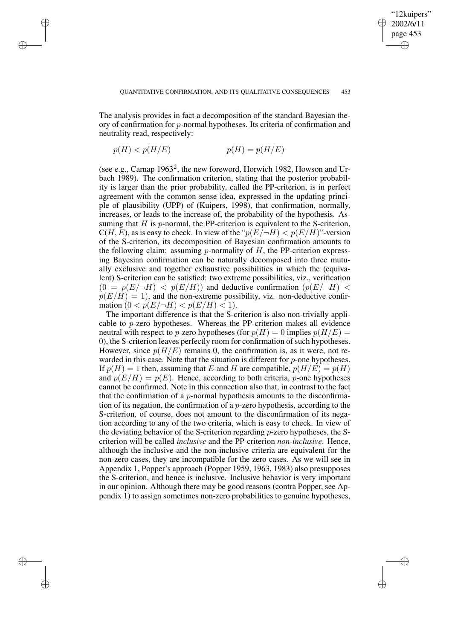✐

✐

✐

✐

The analysis provides in fact a decomposition of the standard Bayesian theory of confirmation for p-normal hypotheses. Its criteria of confirmation and neutrality read, respectively:

$$
p(H) < p(H/E) \tag{H} p(H) = p(H/E)
$$

✐

✐

✐

✐

(see e.g., Carnap  $1963^2$ , the new foreword, Horwich 1982, Howson and Urbach 1989). The confirmation criterion, stating that the posterior probability is larger than the prior probability, called the PP-criterion, is in perfect agreement with the common sense idea, expressed in the updating principle of plausibility (UPP) of (Kuipers, 1998), that confirmation, normally, increases, or leads to the increase of, the probability of the hypothesis. Assuming that  $H$  is p-normal, the PP-criterion is equivalent to the S-criterion,  $C(H, E)$ , as is easy to check. In view of the " $p(E/\neg H) < p(E/H)$ "-version of the S-criterion, its decomposition of Bayesian confirmation amounts to the following claim: assuming p-normality of  $H$ , the PP-criterion expressing Bayesian confirmation can be naturally decomposed into three mutually exclusive and together exhaustive possibilities in which the (equivalent) S-criterion can be satisfied: two extreme possibilities, viz., verification  $(0 = p(E/\neg H) < p(E/H))$  and deductive confirmation  $(p(E/\neg H) <$  $p(E/H) = 1$ , and the non-extreme possibility, viz. non-deductive confirmation  $(0 < p(E/\neg H) < p(E/H) < 1$ .

The important difference is that the S-criterion is also non-trivially applicable to p-zero hypotheses. Whereas the PP-criterion makes all evidence neutral with respect to *p*-zero hypotheses (for  $p(H) = 0$  implies  $p(H/E) = 0$ 0), the S-criterion leaves perfectly room for confirmation of such hypotheses. However, since  $p(H/E)$  remains 0, the confirmation is, as it were, not rewarded in this case. Note that the situation is different for  $p$ -one hypotheses. If  $p(H) = 1$  then, assuming that E and H are compatible,  $p(H/E) = p(H)$ and  $p(E/H) = p(E)$ . Hence, according to both criteria, *p*-one hypotheses cannot be confirmed. Note in this connection also that, in contrast to the fact that the confirmation of a *p*-normal hypothesis amounts to the disconfirmation of its negation, the confirmation of a p-zero hypothesis, according to the S-criterion, of course, does not amount to the disconfirmation of its negation according to any of the two criteria, which is easy to check. In view of the deviating behavior of the S-criterion regarding p-zero hypotheses, the Scriterion will be called *inclusive* and the PP-criterion *non-inclusive*. Hence, although the inclusive and the non-inclusive criteria are equivalent for the non-zero cases, they are incompatible for the zero cases. As we will see in Appendix 1, Popper's approach (Popper 1959, 1963, 1983) also presupposes the S-criterion, and hence is inclusive. Inclusive behavior is very important in our opinion. Although there may be good reasons (contra Popper, see Appendix 1) to assign sometimes non-zero probabilities to genuine hypotheses,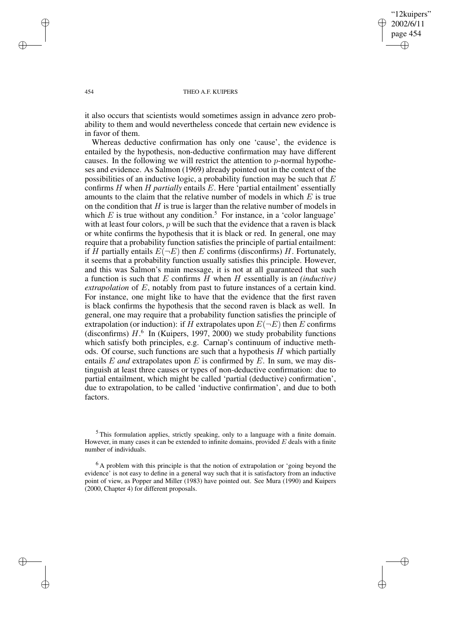"12kuipers" 2002/6/11 page 454 ✐ ✐

✐

✐

### 454 THEO A.F. KUIPERS

it also occurs that scientists would sometimes assign in advance zero probability to them and would nevertheless concede that certain new evidence is in favor of them.

Whereas deductive confirmation has only one 'cause', the evidence is entailed by the hypothesis, non-deductive confirmation may have different causes. In the following we will restrict the attention to  $p$ -normal hypotheses and evidence. As Salmon (1969) already pointed out in the context of the possibilities of an inductive logic, a probability function may be such that  $E$ confirms H when H *partially* entails E. Here 'partial entailment' essentially amounts to the claim that the relative number of models in which  $E$  is true on the condition that  $H$  is true is larger than the relative number of models in which  $E$  is true without any condition.<sup>5</sup> For instance, in a 'color language' with at least four colors,  $p$  will be such that the evidence that a raven is black or white confirms the hypothesis that it is black or red. In general, one may require that a probability function satisfies the principle of partial entailment: if H partially entails  $E(\neg E)$  then E confirms (disconfirms) H. Fortunately, it seems that a probability function usually satisfies this principle. However, and this was Salmon's main message, it is not at all guaranteed that such a function is such that E confirms H when H essentially is an *(inductive) extrapolation* of E, notably from past to future instances of a certain kind. For instance, one might like to have that the evidence that the first raven is black confirms the hypothesis that the second raven is black as well. In general, one may require that a probability function satisfies the principle of extrapolation (or induction): if H extrapolates upon  $E(\neg E)$  then E confirms (disconfirms)  $H<sup>6</sup>$  In (Kuipers, 1997, 2000) we study probability functions which satisfy both principles, e.g. Carnap's continuum of inductive methods. Of course, such functions are such that a hypothesis  $H$  which partially entails  $E$  *and* extrapolates upon  $E$  is confirmed by  $E$ . In sum, we may distinguish at least three causes or types of non-deductive confirmation: due to partial entailment, which might be called 'partial (deductive) confirmation', due to extrapolation, to be called 'inductive confirmation', and due to both factors.

✐

✐

✐

 $<sup>5</sup>$  This formulation applies, strictly speaking, only to a language with a finite domain.</sup> However, in many cases it can be extended to infinite domains, provided  $E$  deals with a finite number of individuals.

<sup>&</sup>lt;sup>6</sup> A problem with this principle is that the notion of extrapolation or 'going beyond the evidence' is not easy to define in a general way such that it is satisfactory from an inductive point of view, as Popper and Miller (1983) have pointed out. See Mura (1990) and Kuipers (2000, Chapter 4) for different proposals.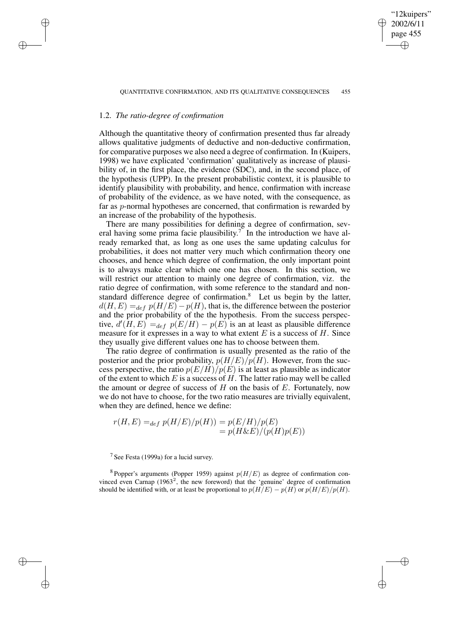✐

✐

✐

✐

# 1.2. *The ratio-degree of confirmation*

✐

✐

✐

✐

Although the quantitative theory of confirmation presented thus far already allows qualitative judgments of deductive and non-deductive confirmation, for comparative purposes we also need a degree of confirmation. In (Kuipers, 1998) we have explicated 'confirmation' qualitatively as increase of plausibility of, in the first place, the evidence (SDC), and, in the second place, of the hypothesis (UPP). In the present probabilistic context, it is plausible to identify plausibility with probability, and hence, confirmation with increase of probability of the evidence, as we have noted, with the consequence, as far as p-normal hypotheses are concerned, that confirmation is rewarded by an increase of the probability of the hypothesis.

There are many possibilities for defining a degree of confirmation, several having some prima facie plausibility.<sup>7</sup> In the introduction we have already remarked that, as long as one uses the same updating calculus for probabilities, it does not matter very much which confirmation theory one chooses, and hence which degree of confirmation, the only important point is to always make clear which one one has chosen. In this section, we will restrict our attention to mainly one degree of confirmation, viz. the ratio degree of confirmation, with some reference to the standard and nonstandard difference degree of confirmation.<sup>8</sup> Let us begin by the latter,  $d(H, E) =_{def} p(H/E) - p(H)$ , that is, the difference between the posterior and the prior probability of the the hypothesis. From the success perspective,  $d'(H, E) =_{def} p(E/H) - p(E)$  is an at least as plausible difference measure for it expresses in a way to what extent  $E$  is a success of  $H$ . Since they usually give different values one has to choose between them.

The ratio degree of confirmation is usually presented as the ratio of the posterior and the prior probability,  $p(H/E)/p(H)$ . However, from the success perspective, the ratio  $p(E/H)/p(E)$  is at least as plausible as indicator of the extent to which  $E$  is a success of  $H$ . The latter ratio may well be called the amount or degree of success of  $H$  on the basis of  $E$ . Fortunately, now we do not have to choose, for the two ratio measures are trivially equivalent, when they are defined, hence we define:

$$
r(H, E) =_{def} p(H/E)/p(H)) = p(E/H)/p(E)
$$
  
=  $p(H \& E)/(p(H)p(E))$ 

<sup>7</sup> See Festa (1999a) for a lucid survey.

<sup>8</sup> Popper's arguments (Popper 1959) against  $p(H/E)$  as degree of confirmation convinced even Carnap  $(1963^2)$ , the new foreword) that the 'genuine' degree of confirmation should be identified with, or at least be proportional to  $p(H/E) - p(H)$  or  $p(H/E)/p(H)$ .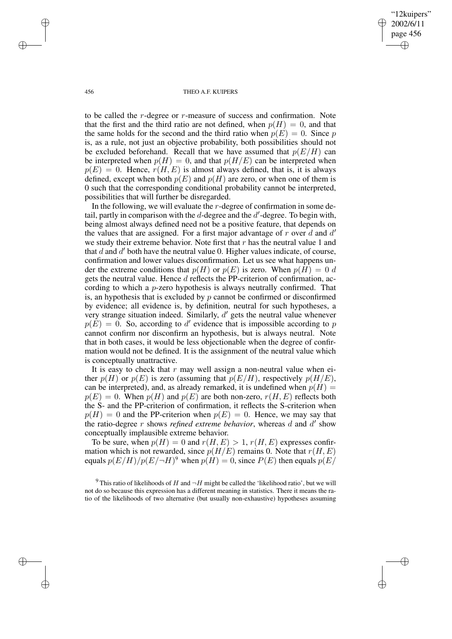"12kuipers" 2002/6/11 page 456 ✐ ✐

✐

✐

### 456 THEO A.F. KUIPERS

to be called the r-degree or r-measure of success and confirmation. Note that the first and the third ratio are not defined, when  $p(H) = 0$ , and that the same holds for the second and the third ratio when  $p(E) = 0$ . Since p is, as a rule, not just an objective probability, both possibilities should not be excluded beforehand. Recall that we have assumed that  $p(E/H)$  can be interpreted when  $p(H) = 0$ , and that  $p(H/E)$  can be interpreted when  $p(E) = 0$ . Hence,  $r(H, E)$  is almost always defined, that is, it is always defined, except when both  $p(E)$  and  $p(H)$  are zero, or when one of them is 0 such that the corresponding conditional probability cannot be interpreted, possibilities that will further be disregarded.

In the following, we will evaluate the  $r$ -degree of confirmation in some detail, partly in comparison with the  $d$ -degree and the  $d'$ -degree. To begin with, being almost always defined need not be a positive feature, that depends on the values that are assigned. For a first major advantage of  $r$  over  $d$  and  $d'$ we study their extreme behavior. Note first that  $r$  has the neutral value 1 and that  $d$  and  $d'$  both have the neutral value 0. Higher values indicate, of course, confirmation and lower values disconfirmation. Let us see what happens under the extreme conditions that  $p(H)$  or  $p(E)$  is zero. When  $p(H) = 0$  d gets the neutral value. Hence d reflects the PP-criterion of confirmation, according to which a p-zero hypothesis is always neutrally confirmed. That is, an hypothesis that is excluded by  $p$  cannot be confirmed or disconfirmed by evidence; all evidence is, by definition, neutral for such hypotheses, a very strange situation indeed. Similarly,  $d'$  gets the neutral value whenever  $p(E) = 0$ . So, according to d' evidence that is impossible according to p cannot confirm nor disconfirm an hypothesis, but is always neutral. Note that in both cases, it would be less objectionable when the degree of confirmation would not be defined. It is the assignment of the neutral value which is conceptually unattractive.

It is easy to check that  $r$  may well assign a non-neutral value when either  $p(H)$  or  $p(E)$  is zero (assuming that  $p(E/H)$ , respectively  $p(H/E)$ , can be interpreted), and, as already remarked, it is undefined when  $p(H)$  =  $p(E) = 0$ . When  $p(H)$  and  $p(E)$  are both non-zero,  $r(H, E)$  reflects both the S- and the PP-criterion of confirmation, it reflects the S-criterion when  $p(H) = 0$  and the PP-criterion when  $p(E) = 0$ . Hence, we may say that the ratio-degree  $r$  shows *refined extreme behavior*, whereas  $d$  and  $d'$  show conceptually implausible extreme behavior.

To be sure, when  $p(H) = 0$  and  $r(H, E) > 1$ ,  $r(H, E)$  expresses confirmation which is not rewarded, since  $p(H/E)$  remains 0. Note that  $r(H, E)$ equals  $p(E/H)/p(E/\neg H)^9$  when  $p(H) = 0$ , since  $P(E)$  then equals  $p(E)/p(E/\neg H)^9$ 

<sup>9</sup> This ratio of likelihoods of H and  $\neg$ H might be called the 'likelihood ratio', but we will not do so because this expression has a different meaning in statistics. There it means the ratio of the likelihoods of two alternative (but usually non-exhaustive) hypotheses assuming

✐

✐

✐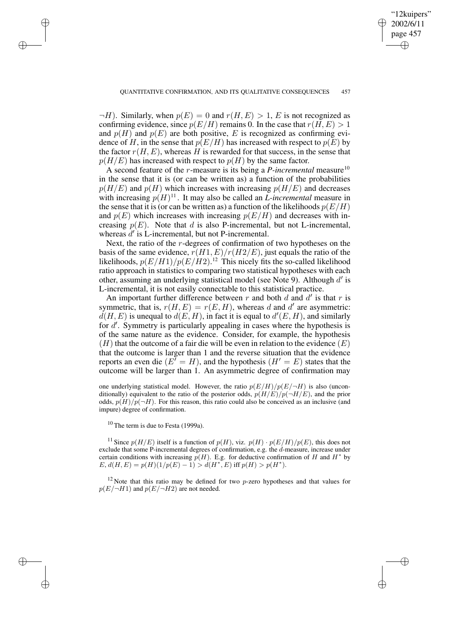✐

✐

✐

✐

 $\neg H$ ). Similarly, when  $p(E) = 0$  and  $r(H, E) > 1$ , E is not recognized as confirming evidence, since  $p(E/H)$  remains 0. In the case that  $r(H, E) > 1$ and  $p(H)$  and  $p(E)$  are both positive, E is recognized as confirming evidence of H, in the sense that  $p(E/H)$  has increased with respect to  $p(E)$  by the factor  $r(H, E)$ , whereas H is rewarded for that success, in the sense that  $p(H/E)$  has increased with respect to  $p(H)$  by the same factor.

A second feature of the *r*-measure is its being a *P-incremental* measure<sup>10</sup> in the sense that it is (or can be written as) a function of the probabilities  $p(H/E)$  and  $p(H)$  which increases with increasing  $p(H/E)$  and decreases with increasing  $p(H)^{11}$ . It may also be called an *L-incremental* measure in the sense that it is (or can be written as) a function of the likelihoods  $p(E/H)$ and  $p(E)$  which increases with increasing  $p(E/H)$  and decreases with increasing  $p(E)$ . Note that d is also P-incremental, but not L-incremental, whereas  $d'$  is L-incremental, but not P-incremental.

Next, the ratio of the r-degrees of confirmation of two hypotheses on the basis of the same evidence,  $r(H1, E)/r(H2/E)$ , just equals the ratio of the likelihoods,  $p(E/H1)/p(E/H2)$ .<sup>12</sup> This nicely fits the so-called likelihood ratio approach in statistics to comparing two statistical hypotheses with each other, assuming an underlying statistical model (see Note 9). Although  $d'$  is L-incremental, it is not easily connectable to this statistical practice.

An important further difference between  $r$  and both  $d$  and  $d'$  is that  $r$  is symmetric, that is,  $r(H, E) = r(E, H)$ , whereas d and d' are asymmetric:  $d(H, E)$  is unequal to  $d(E, H)$ , in fact it is equal to  $d'(E, H)$ , and similarly for  $d'$ . Symmetry is particularly appealing in cases where the hypothesis is of the same nature as the evidence. Consider, for example, the hypothesis  $(H)$  that the outcome of a fair die will be even in relation to the evidence  $(E)$ that the outcome is larger than 1 and the reverse situation that the evidence reports an even die  $(E^{\bar{Y}} = H)$ , and the hypothesis  $(H^{\bar{Y}} = E)$  states that the outcome will be larger than 1. An asymmetric degree of confirmation may

one underlying statistical model. However, the ratio  $p(E/H)/p(E/\neg H)$  is also (unconditionally) equivalent to the ratio of the posterior odds,  $p(H/E)/p(\neg H/E)$ , and the prior odds,  $p(H)/p(\neg H)$ . For this reason, this ratio could also be conceived as an inclusive (and impure) degree of confirmation.

<sup>10</sup> The term is due to Festa (1999a).

✐

✐

✐

✐

<sup>11</sup> Since  $p(H/E)$  itself is a function of  $p(H)$ , viz.  $p(H) \cdot p(E/H)/p(E)$ , this does not exclude that some P-incremental degrees of confirmation, e.g. the d-measure, increase under certain conditions with increasing  $p(H)$ . E.g. for deductive confirmation of H and  $H^*$  by  $E, d(H, E) = p(H)(1/p(E) - 1) > d(H^*, E)$  iff  $p(H) > p(H^*).$ 

<sup>12</sup> Note that this ratio may be defined for two  $p$ -zero hypotheses and that values for  $p(E/\neg H1)$  and  $p(E/\neg H2)$  are not needed.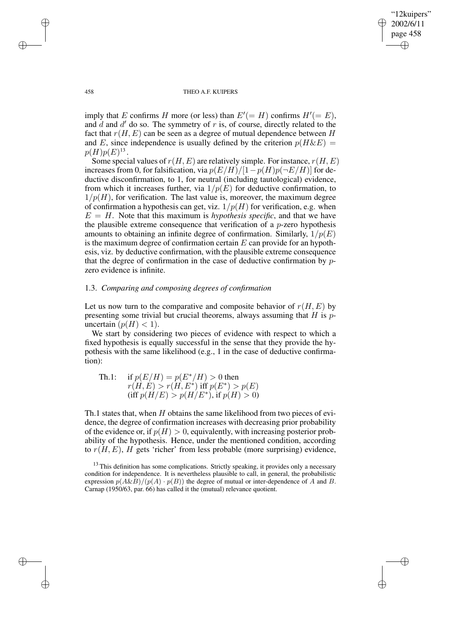"12kuipers" 2002/6/11 page 458 ✐ ✐

✐

✐

### 458 THEO A.F. KUIPERS

imply that E confirms H more (or less) than  $E' (= H)$  confirms  $H' (= E)$ , and  $d$  and  $d'$  do so. The symmetry of  $r$  is, of course, directly related to the fact that  $r(H, E)$  can be seen as a degree of mutual dependence between H and E, since independence is usually defined by the criterion  $p(H\&E)$  =  $p(H)p(E)^{13}$ .

Some special values of  $r(H, E)$  are relatively simple. For instance,  $r(H, E)$ increases from 0, for falsification, via  $p(E/H)/[1-p(H)p(-E/H)]$  for deductive disconfirmation, to 1, for neutral (including tautological) evidence, from which it increases further, via  $1/p(E)$  for deductive confirmation, to  $1/p(H)$ , for verification. The last value is, moreover, the maximum degree of confirmation a hypothesis can get, viz.  $1/p(H)$  for verification, e.g. when  $E = H$ . Note that this maximum is *hypothesis specific*, and that we have the plausible extreme consequence that verification of a  $p$ -zero hypothesis amounts to obtaining an infinite degree of confirmation. Similarly,  $1/p(E)$ is the maximum degree of confirmation certain  $E$  can provide for an hypothesis, viz. by deductive confirmation, with the plausible extreme consequence that the degree of confirmation in the case of deductive confirmation by pzero evidence is infinite.

# 1.3. *Comparing and composing degrees of confirmation*

Let us now turn to the comparative and composite behavior of  $r(H, E)$  by presenting some trivial but crucial theorems, always assuming that  $H$  is  $p$ uncertain  $(p(H) < 1)$ .

We start by considering two pieces of evidence with respect to which a fixed hypothesis is equally successful in the sense that they provide the hypothesis with the same likelihood (e.g., 1 in the case of deductive confirmation):

Th.1: if 
$$
p(E/H) = p(E^*/H) > 0
$$
 then  
\n $r(H, E) > r(H, E^*)$  iff  $p(E^*) > p(E)$   
\n(iff  $p(H/E) > p(H/E^*)$ , if  $p(H) > 0$ )

Th.1 states that, when  $H$  obtains the same likelihood from two pieces of evidence, the degree of confirmation increases with decreasing prior probability of the evidence or, if  $p(H) > 0$ , equivalently, with increasing posterior probability of the hypothesis. Hence, under the mentioned condition, according to  $r(H, E)$ , H gets 'richer' from less probable (more surprising) evidence,

<sup>13</sup> This definition has some complications. Strictly speaking, it provides only a necessary condition for independence. It is nevertheless plausible to call, in general, the probabilistic expression  $p(A\&B)/(p(A)\cdot p(B))$  the degree of mutual or inter-dependence of A and B. Carnap (1950/63, par. 66) has called it the (mutual) relevance quotient.

✐

✐

✐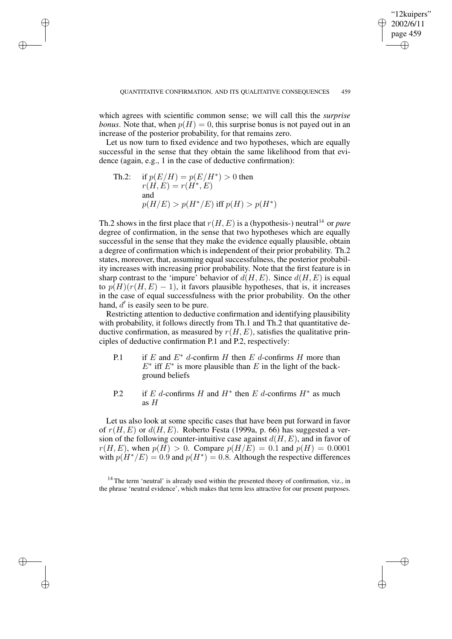✐

✐

✐

✐

which agrees with scientific common sense; we will call this the *surprise bonus*. Note that, when  $p(H) = 0$ , this surprise bonus is not payed out in an increase of the posterior probability, for that remains zero.

Let us now turn to fixed evidence and two hypotheses, which are equally successful in the sense that they obtain the same likelihood from that evidence (again, e.g., 1 in the case of deductive confirmation):

Th.2: if 
$$
p(E/H) = p(E/H^*) > 0
$$
 then  $r(H, E) = r(H^*, E)$  and  $p(H/E) > p(H^*/E)$  iff  $p(H) > p(H^*)$ 

✐

✐

✐

✐

Th.2 shows in the first place that  $r(H, E)$  is a (hypothesis-) neutral<sup>14</sup> or *pure* degree of confirmation, in the sense that two hypotheses which are equally successful in the sense that they make the evidence equally plausible, obtain a degree of confirmation which is independent of their prior probability. Th.2 states, moreover, that, assuming equal successfulness, the posterior probability increases with increasing prior probability. Note that the first feature is in sharp contrast to the 'impure' behavior of  $d(H, E)$ . Since  $d(H, E)$  is equal to  $p(H)(r(H, E) - 1)$ , it favors plausible hypotheses, that is, it increases in the case of equal successfulness with the prior probability. On the other hand,  $d'$  is easily seen to be pure.

Restricting attention to deductive confirmation and identifying plausibility with probability, it follows directly from Th.1 and Th.2 that quantitative deductive confirmation, as measured by  $r(H, E)$ , satisfies the qualitative principles of deductive confirmation P.1 and P.2, respectively:

- P.1 if E and  $E^*$  d-confirm H then E d-confirms H more than  $E^*$  iff  $E^*$  is more plausible than E in the light of the background beliefs
- P.2 if E d-confirms H and  $H^*$  then E d-confirms  $H^*$  as much as H

Let us also look at some specific cases that have been put forward in favor of  $r(H, E)$  or  $d(H, E)$ . Roberto Festa (1999a, p. 66) has suggested a version of the following counter-intuitive case against  $d(H, E)$ , and in favor of  $r(H, E)$ , when  $p(H) > 0$ . Compare  $p(H/E) = 0.1$  and  $p(H) = 0.0001$ with  $p(H^*/E) = 0.9$  and  $p(H^*) = 0.8$ . Although the respective differences

 $14$  The term 'neutral' is already used within the presented theory of confirmation, viz., in the phrase 'neutral evidence', which makes that term less attractive for our present purposes.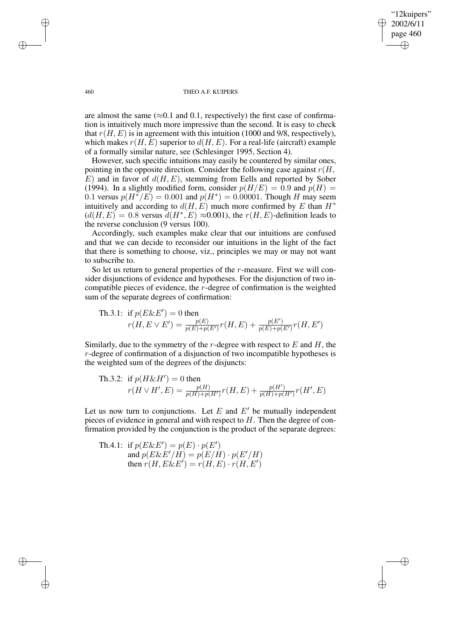"12kuipers" 2002/6/11 page 460 ✐ ✐

✐

✐

### 460 THEO A.F. KUIPERS

are almost the same  $(\approx 0.1$  and 0.1, respectively) the first case of confirmation is intuitively much more impressive than the second. It is easy to check that  $r(H, E)$  is in agreement with this intuition (1000 and 9/8, respectively), which makes  $r(H, E)$  superior to  $d(H, E)$ . For a real-life (aircraft) example of a formally similar nature, see (Schlesinger 1995, Section 4).

However, such specific intuitions may easily be countered by similar ones, pointing in the opposite direction. Consider the following case against  $r(H,$  $E$ ) and in favor of  $d(H, E)$ , stemming from Eells and reported by Sober (1994). In a slightly modified form, consider  $p(H/E) = 0.9$  and  $p(H) =$ 0.1 versus  $p(H^*/E) = 0.001$  and  $p(H^*) = 0.00001$ . Though H may seem intuitively and according to  $d(H, E)$  much more confirmed by E than  $H^*$  $(d(H, E) = 0.8$  versus  $d(H^*, E) \approx 0.001$ , the  $r(H, E)$ -definition leads to the reverse conclusion (9 versus 100).

Accordingly, such examples make clear that our intuitions are confused and that we can decide to reconsider our intuitions in the light of the fact that there is something to choose, viz., principles we may or may not want to subscribe to.

So let us return to general properties of the  $r$ -measure. First we will consider disjunctions of evidence and hypotheses. For the disjunction of two incompatible pieces of evidence, the r-degree of confirmation is the weighted sum of the separate degrees of confirmation:

Th.3.1: if 
$$
p(E \& E') = 0
$$
 then  
\n
$$
r(H, E \lor E') = \frac{p(E)}{p(E) + p(E')} r(H, E) + \frac{p(E')}{p(E) + p(E')} r(H, E')
$$

Similarly, due to the symmetry of the  $r$ -degree with respect to  $E$  and  $H$ , the r-degree of confirmation of a disjunction of two incompatible hypotheses is the weighted sum of the degrees of the disjuncts:

Th.3.2: if 
$$
p(H \& H') = 0
$$
 then  
\n
$$
r(H \lor H', E) = \frac{p(H)}{p(H) + p(H')} r(H, E) + \frac{p(H')}{p(H) + p(H')} r(H', E)
$$

Let us now turn to conjunctions. Let  $E$  and  $E'$  be mutually independent pieces of evidence in general and with respect to  $H$ . Then the degree of confirmation provided by the conjunction is the product of the separate degrees:

Th.4.1: if 
$$
p(E \& E') = p(E) \cdot p(E')
$$
 and  $p(E \& E'/H) = p(E/H) \cdot p(E'/H)$  then  $r(H, E \& E') = r(H, E) \cdot r(H, E')$ 

✐

✐

✐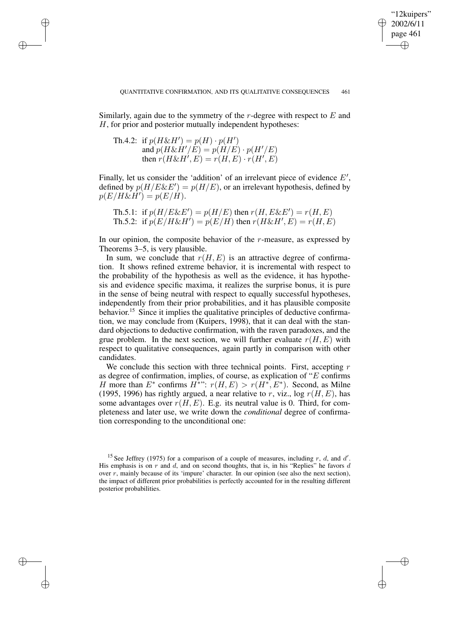✐

Similarly, again due to the symmetry of the r-degree with respect to  $E$  and H, for prior and posterior mutually independent hypotheses:

Th.4.2: if  $p(H \& H') = p(H) \cdot p(H')$ and  $p(H \& H'/E) = p(H/E) \cdot p(H'/E)$ then  $r(H \& H', E) = r(H, E) \cdot r(H', E)$ 

✐

✐

✐

✐

Finally, let us consider the 'addition' of an irrelevant piece of evidence  $E'$ , defined by  $p(H/E\&E') = p(H/E)$ , or an irrelevant hypothesis, defined by  $p(E/H \& H') = p(E/H).$ 

Th.5.1: if 
$$
p(H/ExE') = p(H/E)
$$
 then  $r(H, E\&E') = r(H, E)$   
Th.5.2: if  $p(E/H\&H') = p(E/H)$  then  $r(H\&H', E) = r(H, E)$ 

In our opinion, the composite behavior of the  $r$ -measure, as expressed by Theorems 3–5, is very plausible.

In sum, we conclude that  $r(H, E)$  is an attractive degree of confirmation. It shows refined extreme behavior, it is incremental with respect to the probability of the hypothesis as well as the evidence, it has hypothesis and evidence specific maxima, it realizes the surprise bonus, it is pure in the sense of being neutral with respect to equally successful hypotheses, independently from their prior probabilities, and it has plausible composite behavior.<sup>15</sup> Since it implies the qualitative principles of deductive confirmation, we may conclude from (Kuipers, 1998), that it can deal with the standard objections to deductive confirmation, with the raven paradoxes, and the grue problem. In the next section, we will further evaluate  $r(H, E)$  with respect to qualitative consequences, again partly in comparison with other candidates.

We conclude this section with three technical points. First, accepting  $r$ as degree of confirmation, implies, of course, as explication of "E confirms H more than  $E^*$  confirms  $H^{*}$ ":  $r(H, E) > r(H^*, E^*)$ . Second, as Milne (1995, 1996) has rightly argued, a near relative to r, viz., log  $r(H, E)$ , has some advantages over  $r(H, E)$ . E.g. its neutral value is 0. Third, for completeness and later use, we write down the *conditional* degree of confirmation corresponding to the unconditional one:

<sup>&</sup>lt;sup>15</sup> See Jeffrey (1975) for a comparison of a couple of measures, including r, d, and d'. His emphasis is on  $r$  and  $d$ , and on second thoughts, that is, in his "Replies" he favors  $d$ over r, mainly because of its 'impure' character. In our opinion (see also the next section), the impact of different prior probabilities is perfectly accounted for in the resulting different posterior probabilities.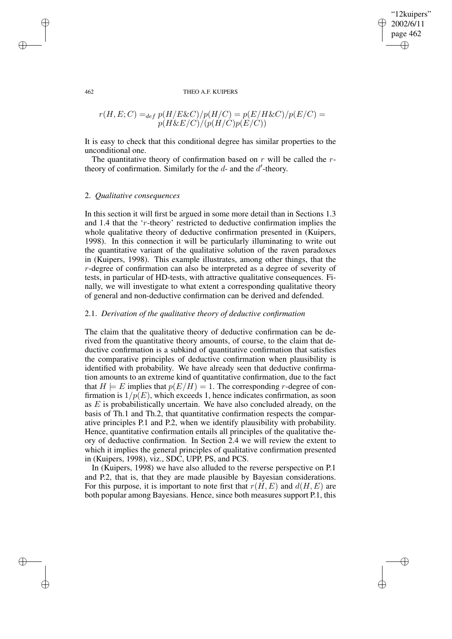# "12kuipers" 2002/6/11 page 462 ✐ ✐

✐

✐

### 462 THEO A.F. KUIPERS

$$
r(H, E; C) =_{def} p(H/ExC)/p(H/C) = p(E/H \& C)/p(E/C) =
$$
  

$$
p(H \& E/C)/(p(H/C)p(E/C))
$$

It is easy to check that this conditional degree has similar properties to the unconditional one.

The quantitative theory of confirmation based on  $r$  will be called the  $r$ theory of confirmation. Similarly for the  $d$ - and the  $d'$ -theory.

# 2. *Qualitative consequences*

In this section it will first be argued in some more detail than in Sections 1.3 and 1.4 that the 'r-theory' restricted to deductive confirmation implies the whole qualitative theory of deductive confirmation presented in (Kuipers, 1998). In this connection it will be particularly illuminating to write out the quantitative variant of the qualitative solution of the raven paradoxes in (Kuipers, 1998). This example illustrates, among other things, that the r-degree of confirmation can also be interpreted as a degree of severity of tests, in particular of HD-tests, with attractive qualitative consequences. Finally, we will investigate to what extent a corresponding qualitative theory of general and non-deductive confirmation can be derived and defended.

# 2.1. *Derivation of the qualitative theory of deductive confirmation*

The claim that the qualitative theory of deductive confirmation can be derived from the quantitative theory amounts, of course, to the claim that deductive confirmation is a subkind of quantitative confirmation that satisfies the comparative principles of deductive confirmation when plausibility is identified with probability. We have already seen that deductive confirmation amounts to an extreme kind of quantitative confirmation, due to the fact that  $H \models E$  implies that  $p(E/H) = 1$ . The corresponding r-degree of confirmation is  $1/p(E)$ , which exceeds 1, hence indicates confirmation, as soon as  $E$  is probabilistically uncertain. We have also concluded already, on the basis of Th.1 and Th.2, that quantitative confirmation respects the comparative principles P.1 and P.2, when we identify plausibility with probability. Hence, quantitative confirmation entails all principles of the qualitative theory of deductive confirmation. In Section 2.4 we will review the extent to which it implies the general principles of qualitative confirmation presented in (Kuipers, 1998), viz., SDC, UPP, PS, and PCS.

In (Kuipers, 1998) we have also alluded to the reverse perspective on P.1 and P.2, that is, that they are made plausible by Bayesian considerations. For this purpose, it is important to note first that  $r(H, E)$  and  $d(H, E)$  are both popular among Bayesians. Hence, since both measures support P.1, this

✐

✐

✐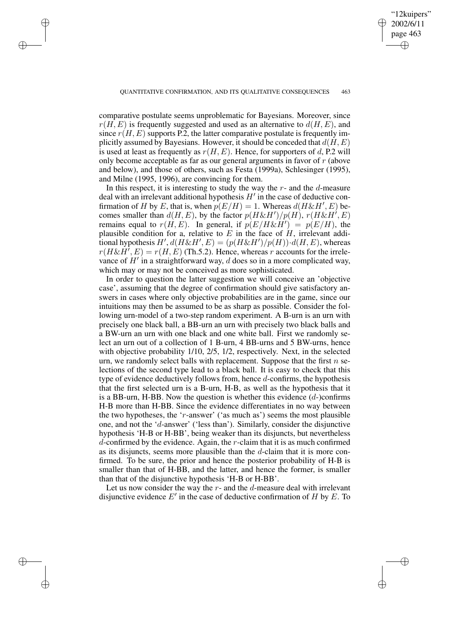✐

✐

✐

"12kuipers" 2002/6/11 page 463

✐

✐

✐

✐

comparative postulate seems unproblematic for Bayesians. Moreover, since  $r(H, E)$  is frequently suggested and used as an alternative to  $d(H, E)$ , and since  $r(H, E)$  supports P.2, the latter comparative postulate is frequently implicitly assumed by Bayesians. However, it should be conceded that  $d(H, E)$ is used at least as frequently as  $r(H, E)$ . Hence, for supporters of d, P.2 will only become acceptable as far as our general arguments in favor of  $r$  (above and below), and those of others, such as Festa (1999a), Schlesinger (1995), and Milne (1995, 1996), are convincing for them.

In this respect, it is interesting to study the way the  $r$ - and the  $d$ -measure deal with an irrelevant additional hypothesis  $H'$  in the case of deductive confirmation of H by E, that is, when  $p(E/H) = 1$ . Whereas  $d(H \& H', E)$  becomes smaller than  $d(H, E)$ , by the factor  $p(H \& H')/p(H)$ ,  $r(H \& H', E)$ remains equal to  $r(H, E)$ . In general, if  $p(E/H\&H') = p(E/H)$ , the plausible condition for a, relative to  $E$  in the face of  $H$ , irrelevant additional hypothesis H',  $d(H \& H', E) = (p(H \& H')/p(H)) \cdot d(H, E)$ , whereas  $r(H \& H', E) = r(H, E)$  (Th.5.2). Hence, whereas r accounts for the irrelevance of  $H'$  in a straightforward way,  $d$  does so in a more complicated way, which may or may not be conceived as more sophisticated.

In order to question the latter suggestion we will conceive an 'objective case', assuming that the degree of confirmation should give satisfactory answers in cases where only objective probabilities are in the game, since our intuitions may then be assumed to be as sharp as possible. Consider the following urn-model of a two-step random experiment. A B-urn is an urn with precisely one black ball, a BB-urn an urn with precisely two black balls and a BW-urn an urn with one black and one white ball. First we randomly select an urn out of a collection of 1 B-urn, 4 BB-urns and 5 BW-urns, hence with objective probability 1/10, 2/5, 1/2, respectively. Next, in the selected urn, we randomly select balls with replacement. Suppose that the first  $n$  selections of the second type lead to a black ball. It is easy to check that this type of evidence deductively follows from, hence d-confirms, the hypothesis that the first selected urn is a B-urn, H-B, as well as the hypothesis that it is a BB-urn, H-BB. Now the question is whether this evidence  $(d)$ -confirms H-B more than H-BB. Since the evidence differentiates in no way between the two hypotheses, the 'r-answer' ('as much as') seems the most plausible one, and not the 'd-answer' ('less than'). Similarly, consider the disjunctive hypothesis 'H-B or H-BB', being weaker than its disjuncts, but nevertheless  $d$ -confirmed by the evidence. Again, the  $r$ -claim that it is as much confirmed as its disjuncts, seems more plausible than the d-claim that it is more confirmed. To be sure, the prior and hence the posterior probability of H-B is smaller than that of H-BB, and the latter, and hence the former, is smaller than that of the disjunctive hypothesis 'H-B or H-BB'.

Let us now consider the way the  $r$ - and the  $d$ -measure deal with irrelevant disjunctive evidence  $E'$  in the case of deductive confirmation of H by E. To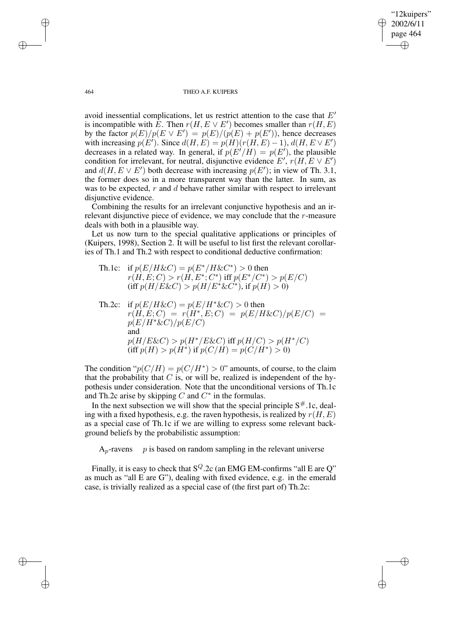"12kuipers" 2002/6/11 page 464 ✐ ✐

✐

✐

### 464 THEO A.F. KUIPERS

avoid inessential complications, let us restrict attention to the case that  $E'$ is incompatible with E. Then  $r(H, E \vee E')$  becomes smaller than  $r(H, E)$ by the factor  $p(E)/p(E \vee E') = p(E)/(p(E) + p(E'))$ , hence decreases with increasing  $p(E')$ . Since  $d(H, E) = p(H)(r(H, E) - 1)$ ,  $d(H, E \vee E')$ decreases in a related way. In general, if  $p(E'/H) = p(E')$ , the plausible condition for irrelevant, for neutral, disjunctive evidence  $E', r(H, E \vee E')$ and  $d(H, E \vee E')$  both decrease with increasing  $p(E')$ ; in view of Th. 3.1, the former does so in a more transparent way than the latter. In sum, as was to be expected,  $r$  and  $d$  behave rather similar with respect to irrelevant disjunctive evidence.

Combining the results for an irrelevant conjunctive hypothesis and an irrelevant disjunctive piece of evidence, we may conclude that the r-measure deals with both in a plausible way.

Let us now turn to the special qualitative applications or principles of (Kuipers, 1998), Section 2. It will be useful to list first the relevant corollaries of Th.1 and Th.2 with respect to conditional deductive confirmation:

- Th.1c: if  $p(E/H \& C) = p(E^* / H \& C^*) > 0$  then  $r(H, E; C) > r(H, E^*, C^*)$  iff  $p(E^*/C^*) > p(E/C)$ (iff  $p(H/E\&C) > p(H/E^* \& C^*)$ , if  $p(H) > 0$ )
- Th.2c: if  $p(E/H \& C) = p(E/H^* \& C) > 0$  then  $r(H, E; C) = r(H^*, E; C) = p(E/H \& C)/p(E/C) =$  $p(E/H^*\&C)/p(E/C)$ and  $p(H/E\&C) > p(H^*/E\&C)$  iff  $p(H/C) > p(H^*/C)$ (iff  $p(H) > p(H^*)$  if  $p(C/H) = p(C/H^*) > 0$ )

The condition " $p(C/H) = p(C/H^*) > 0$ " amounts, of course, to the claim that the probability that  $C$  is, or will be, realized is independent of the hypothesis under consideration. Note that the unconditional versions of Th.1c and Th.2c arise by skipping  $C$  and  $C^*$  in the formulas.

In the next subsection we will show that the special principle  $S^{\#}$ .1c, dealing with a fixed hypothesis, e.g. the raven hypothesis, is realized by  $r(H, E)$ as a special case of Th.1c if we are willing to express some relevant background beliefs by the probabilistic assumption:

 $A_p$ -ravens *p* is based on random sampling in the relevant universe

Finally, it is easy to check that  $S^Q$ .2c (an EMG EM-confirms "all E are Q" as much as "all E are G"), dealing with fixed evidence, e.g. in the emerald case, is trivially realized as a special case of (the first part of) Th.2c:

✐

✐

✐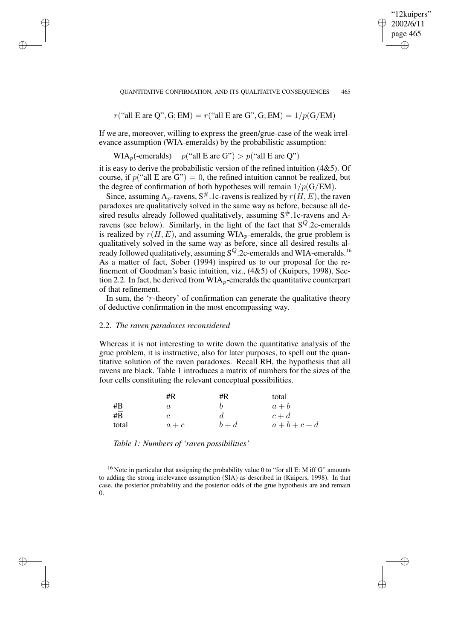✐

✐

✐

✐

 $r("all E are Q", G; EM) = r("all E are G", G; EM) = 1/p(G/EM)$ 

If we are, moreover, willing to express the green/grue-case of the weak irrelevance assumption (WIA-emeralds) by the probabilistic assumption:

$$
\text{WIA}_p(\text{-emeralds}) \quad p("all \to \text{are } \mathbf{G}") > p("all \to \text{are } \mathbf{Q}")
$$

it is easy to derive the probabilistic version of the refined intuition (4&5). Of course, if  $p("all E are G") = 0$ , the refined intuition cannot be realized, but the degree of confirmation of both hypotheses will remain  $1/p(G/EM)$ .

Since, assuming  $A_p$ -ravens, S<sup>#</sup>.1c-ravens is realized by  $r(H, E)$ , the raven paradoxes are qualitatively solved in the same way as before, because all desired results already followed qualitatively, assuming  $S^{\#}$ .1c-ravens and Aravens (see below). Similarly, in the light of the fact that  $S^Q$ .2c-emeralds is realized by  $r(H, E)$ , and assuming WIA<sub>p</sub>-emeralds, the grue problem is qualitatively solved in the same way as before, since all desired results already followed qualitatively, assuming S<sup>Q</sup>.2c-emeralds and WIA-emeralds.<sup>16</sup> As a matter of fact, Sober (1994) inspired us to our proposal for the refinement of Goodman's basic intuition, viz., (4&5) of (Kuipers, 1998), Section 2.2. In fact, he derived from  $WIA_p$ -emeralds the quantitative counterpart of that refinement.

In sum, the 'r-theory' of confirmation can generate the qualitative theory of deductive confirmation in the most encompassing way.

# 2.2. *The raven paradoxes reconsidered*

✐

✐

✐

✐

Whereas it is not interesting to write down the quantitative analysis of the grue problem, it is instructive, also for later purposes, to spell out the quantitative solution of the raven paradoxes. Recall RH, the hypothesis that all ravens are black. Table 1 introduces a matrix of numbers for the sizes of the four cells constituting the relevant conceptual possibilities.

|       | #R    | #R    | total     |
|-------|-------|-------|-----------|
| #B    | a     |       | $a + b$   |
| #B    |       |       | $c + d$   |
| total | $a+c$ | $b+d$ | $a+b+c+d$ |

*Table 1: Numbers of 'raven possibilities'*

<sup>16</sup> Note in particular that assigning the probability value 0 to "for all E: M iff G" amounts to adding the strong irrelevance assumption (SIA) as described in (Kuipers, 1998). In that case, the posterior probability and the posterior odds of the grue hypothesis are and remain 0.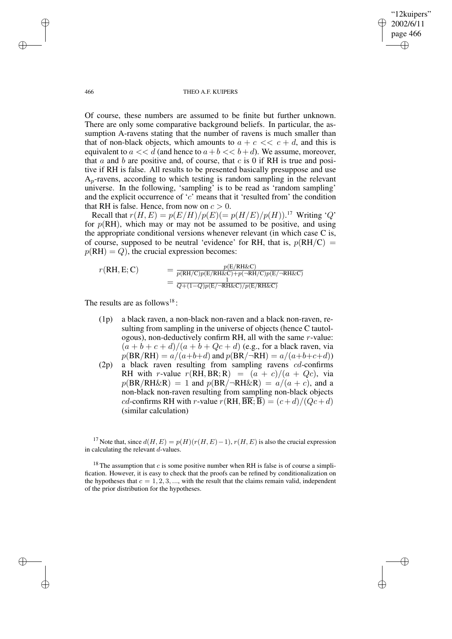2002/6/11 page 466 ✐ ✐

✐

✐

"12kuipers"

### 466 THEO A.F. KUIPERS

Of course, these numbers are assumed to be finite but further unknown. There are only some comparative background beliefs. In particular, the assumption A-ravens stating that the number of ravens is much smaller than that of non-black objects, which amounts to  $a + c \ll c + d$ , and this is equivalent to  $a \ll d$  (and hence to  $a + b \ll b + d$ ). We assume, moreover, that  $a$  and  $b$  are positive and, of course, that  $c$  is 0 if RH is true and positive if RH is false. All results to be presented basically presuppose and use  $A_n$ -ravens, according to which testing is random sampling in the relevant universe. In the following, 'sampling' is to be read as 'random sampling' and the explicit occurrence of 'c' means that it 'resulted from' the condition that RH is false. Hence, from now on  $c > 0$ .

Recall that  $r(H, E) = p(E/H)/p(E) (= p(H/E)/p(H))$ .<sup>17</sup> Writing 'Q' for  $p(RH)$ , which may or may not be assumed to be positive, and using the appropriate conditional versions whenever relevant (in which case C is, of course, supposed to be neutral 'evidence' for RH, that is,  $p(RH/C)$  =  $p(RH) = Q$ , the crucial expression becomes:

$$
r(RH, E; C) = \frac{p(E/RH\&C)}{p(RH/C)p(E/RH\&C) + p(\neg RH/C)p(E/\neg RH\&C)}
$$
  
= 
$$
\frac{1}{Q + (1 - Q)p(E/\neg RH\&C)/p(E/RH\&C)}
$$

The results are as follows<sup>18</sup>:

- (1p) a black raven, a non-black non-raven and a black non-raven, resulting from sampling in the universe of objects (hence C tautologous), non-deductively confirm RH, all with the same r-value:  $(a + b + c + d)/(a + b + Qc + d)$  (e.g., for a black raven, via  $p(BR/RH) = a/(a+b+d)$  and  $p(BR/\neg RH) = a/(a+b+c+d)$
- $(2p)$  a black raven resulting from sampling ravens  $cd$ -confirms RH with r-value  $r(RH, BR; R) = (a + c)/(a + Qc)$ , via  $p(BR/RH\&R) = 1$  and  $p(BR/\neg RH\&R) = a/(a + c)$ , and a non-black non-raven resulting from sampling non-black objects *cd*-confirms RH with r-value  $r(RH, \overline{BR}; \overline{B}) = (c+d)/(Qc+d)$ (similar calculation)

<sup>17</sup> Note that, since  $d(H, E) = p(H)(r(H, E) - 1)$ ,  $r(H, E)$  is also the crucial expression in calculating the relevant d-values.

<sup>18</sup> The assumption that  $c$  is some positive number when RH is false is of course a simplification. However, it is easy to check that the proofs can be refined by conditionalization on the hypotheses that  $c = 1, 2, 3, \dots$ , with the result that the claims remain valid, independent of the prior distribution for the hypotheses.

✐

✐

✐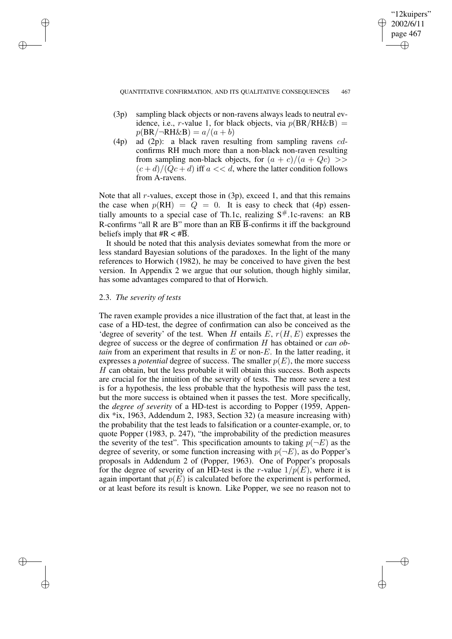✐

✐

✐

✐

- (3p) sampling black objects or non-ravens always leads to neutral evidence, i.e., r-value 1, for black objects, via  $p(BR/RH\&B)$  =  $p(BR/\neg RH\&B) = a/(a + b)$
- (4p) ad (2p): a black raven resulting from sampling ravens  $cd$ confirms RH much more than a non-black non-raven resulting from sampling non-black objects, for  $(a + c)/(a + Qc)$  >>  $(c+d)/(Qc+d)$  iff  $a \ll d$ , where the latter condition follows from A-ravens.

Note that all r-values, except those in  $(3p)$ , exceed 1, and that this remains the case when  $p(RH) = Q = 0$ . It is easy to check that (4p) essentially amounts to a special case of Th.1c, realizing  $S^{\#}$ .1c-ravens: an RB R-confirms "all R are B" more than an  $\overline{RB}$  B-confirms it iff the background beliefs imply that  $\#R < \#B$ .

It should be noted that this analysis deviates somewhat from the more or less standard Bayesian solutions of the paradoxes. In the light of the many references to Horwich (1982), he may be conceived to have given the best version. In Appendix 2 we argue that our solution, though highly similar, has some advantages compared to that of Horwich.

# 2.3. *The severity of tests*

✐

✐

✐

✐

The raven example provides a nice illustration of the fact that, at least in the case of a HD-test, the degree of confirmation can also be conceived as the 'degree of severity' of the test. When H entails  $E, r(H, E)$  expresses the degree of success or the degree of confirmation H has obtained or *can obtain* from an experiment that results in  $E$  or non- $E$ . In the latter reading, it expresses a *potential* degree of success. The smaller  $p(E)$ , the more success  $H$  can obtain, but the less probable it will obtain this success. Both aspects are crucial for the intuition of the severity of tests. The more severe a test is for a hypothesis, the less probable that the hypothesis will pass the test, but the more success is obtained when it passes the test. More specifically, the *degree of severity* of a HD-test is according to Popper (1959, Appendix \*ix, 1963, Addendum 2, 1983, Section 32) (a measure increasing with) the probability that the test leads to falsification or a counter-example, or, to quote Popper (1983, p. 247), "the improbability of the prediction measures the severity of the test". This specification amounts to taking  $p(\neg E)$  as the degree of severity, or some function increasing with  $p(\neg E)$ , as do Popper's proposals in Addendum 2 of (Popper, 1963). One of Popper's proposals for the degree of severity of an HD-test is the r-value  $1/p(E)$ , where it is again important that  $p(E)$  is calculated before the experiment is performed, or at least before its result is known. Like Popper, we see no reason not to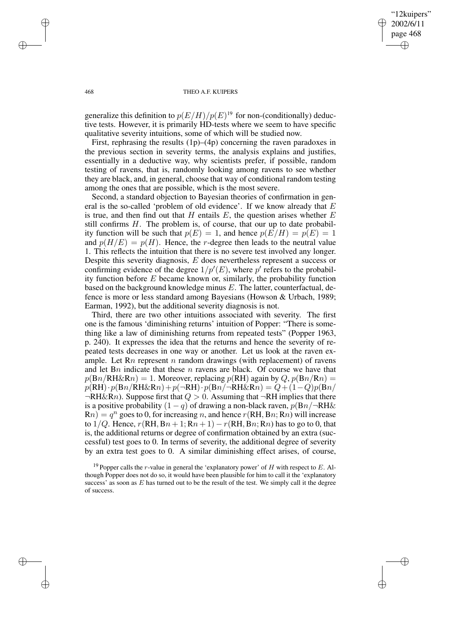"12kuipers" 2002/6/11 page 468 ✐ ✐

✐

✐

### 468 THEO A.F. KUIPERS

generalize this definition to  $p(E/H)/p(E)^{19}$  for non-(conditionally) deductive tests. However, it is primarily HD-tests where we seem to have specific qualitative severity intuitions, some of which will be studied now.

First, rephrasing the results (1p)–(4p) concerning the raven paradoxes in the previous section in severity terms, the analysis explains and justifies, essentially in a deductive way, why scientists prefer, if possible, random testing of ravens, that is, randomly looking among ravens to see whether they are black, and, in general, choose that way of conditional random testing among the ones that are possible, which is the most severe.

Second, a standard objection to Bayesian theories of confirmation in general is the so-called 'problem of old evidence'. If we know already that  $E$ is true, and then find out that  $H$  entails  $E$ , the question arises whether  $E$ still confirms  $H$ . The problem is, of course, that our up to date probability function will be such that  $p(E) = 1$ , and hence  $p(E/H) = p(E) = 1$ and  $p(H/E) = p(H)$ . Hence, the r-degree then leads to the neutral value 1. This reflects the intuition that there is no severe test involved any longer. Despite this severity diagnosis, E does nevertheless represent a success or confirming evidence of the degree  $1/p'(E)$ , where p' refers to the probability function before  $E$  became known or, similarly, the probability function based on the background knowledge minus E. The latter, counterfactual, defence is more or less standard among Bayesians (Howson & Urbach, 1989; Earman, 1992), but the additional severity diagnosis is not.

Third, there are two other intuitions associated with severity. The first one is the famous 'diminishing returns' intuition of Popper: "There is something like a law of diminishing returns from repeated tests" (Popper 1963, p. 240). It expresses the idea that the returns and hence the severity of repeated tests decreases in one way or another. Let us look at the raven example. Let  $R_n$  represent n random drawings (with replacement) of ravens and let Bn indicate that these  $n$  ravens are black. Of course we have that  $p(Bn/RH\&Rn) = 1$ . Moreover, replacing  $p(RH)$  again by Q,  $p(Bn/Rn) =$  $p(RH) \cdot p(Bn/RH\&Rn) + p(\neg RH) \cdot p(Bn/\neg RH\&Rn) = Q + (1-Q)p(Bn/\neg RH\&Rn)$  $\neg RH\&Rn$ ). Suppose first that  $Q > 0$ . Assuming that  $\neg RH$  implies that there is a positive probability  $(1 - q)$  of drawing a non-black raven,  $p(Bn / \neg RH\&)$  $\mathbb{R}n) = q^n$  goes to 0, for increasing n, and hence  $r(\text{RH}, \text{B}_n; \text{R}_n)$  will increase to  $1/Q$ . Hence,  $r(RH, Bn + 1; Rn + 1) - r(RH, Bn; Rn)$  has to go to 0, that is, the additional returns or degree of confirmation obtained by an extra (successful) test goes to 0. In terms of severity, the additional degree of severity by an extra test goes to 0. A similar diminishing effect arises, of course,

<sup>19</sup> Popper calls the *r*-value in general the 'explanatory power' of  $H$  with respect to  $E$ . Although Popper does not do so, it would have been plausible for him to call it the 'explanatory success' as soon as  $E$  has turned out to be the result of the test. We simply call it the degree of success.

✐

✐

✐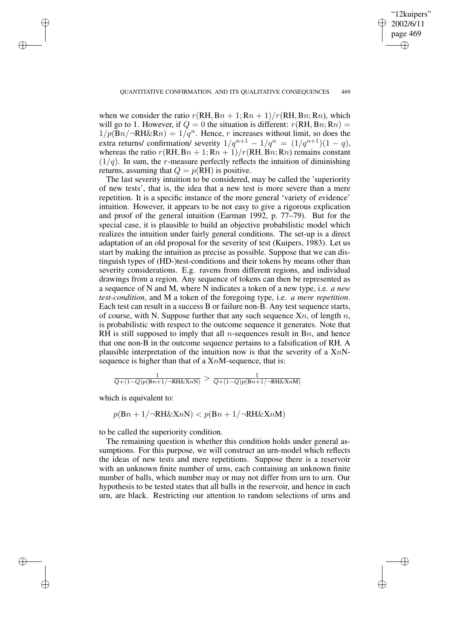✐

when we consider the ratio  $r(RH, Bn + 1; Rn + 1)/r(RH, Bn; Rn)$ , which will go to 1. However, if  $Q = 0$  the situation is different:  $r(RH, Bn; Rn) =$  $1/p(Bn/\neg R H \& Rn) = 1/q^n$ . Hence, r increases without limit, so does the extra returns/ confirmation/ severity  $1/q^{n+1} - 1/q^n = (1/q^{n+1})(1-q)$ , whereas the ratio  $r(RH, Bn + 1; Rn + 1)/r(RH, Bn; Rn)$  remains constant  $(1/q)$ . In sum, the r-measure perfectly reflects the intuition of diminishing returns, assuming that  $Q = p(RH)$  is positive.

The last severity intuition to be considered, may be called the 'superiority of new tests', that is, the idea that a new test is more severe than a mere repetition. It is a specific instance of the more general 'variety of evidence' intuition. However, it appears to be not easy to give a rigorous explication and proof of the general intuition (Earman 1992, p. 77–79). But for the special case, it is plausible to build an objective probabilistic model which realizes the intuition under fairly general conditions. The set-up is a direct adaptation of an old proposal for the severity of test (Kuipers, 1983). Let us start by making the intuition as precise as possible. Suppose that we can distinguish types of (HD-)test-conditions and their tokens by means other than severity considerations. E.g. ravens from different regions, and individual drawings from a region. Any sequence of tokens can then be represented as a sequence of N and M, where N indicates a token of a new type, i.e. *a new test-condition*, and M a token of the foregoing type, i.e. *a mere repetition*. Each test can result in a success B or failure non-B. Any test sequence starts, of course, with N. Suppose further that any such sequence  $X_n$ , of length n, is probabilistic with respect to the outcome sequence it generates. Note that RH is still supposed to imply that all *n*-sequences result in Bn, and hence that one non-B in the outcome sequence pertains to a falsification of RH. A plausible interpretation of the intuition now is that the severity of a  $XnN$ sequence is higher than that of a  $XnM$ -sequence, that is:

$$
\frac{1}{Q+(1-Q)p(Bn+1/\neg RH\&XnN)} > \frac{1}{Q+(1-Q)p(Bn+1/\neg RH\&XnM)}
$$

which is equivalent to:

✐

✐

✐

✐

$$
p(Bn + 1/\neg RH\&XnN) < p(Bn + 1/\neg RH\&XnM)
$$

to be called the superiority condition.

The remaining question is whether this condition holds under general assumptions. For this purpose, we will construct an urn-model which reflects the ideas of new tests and mere repetitions. Suppose there is a reservoir with an unknown finite number of urns, each containing an unknown finite number of balls, which number may or may not differ from urn to urn. Our hypothesis to be tested states that all balls in the reservoir, and hence in each urn, are black. Restricting our attention to random selections of urns and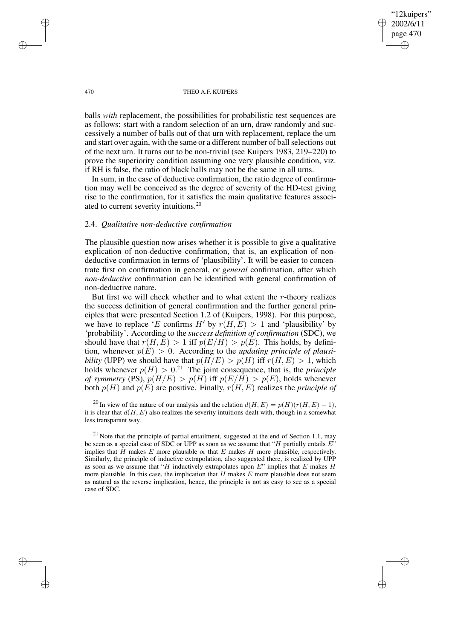470 THEO A.F. KUIPERS

"12kuipers" 2002/6/11 page 470

✐

✐

✐

✐

balls *with* replacement, the possibilities for probabilistic test sequences are as follows: start with a random selection of an urn, draw randomly and successively a number of balls out of that urn with replacement, replace the urn and start over again, with the same or a different number of ball selections out of the next urn. It turns out to be non-trivial (see Kuipers 1983, 219–220) to prove the superiority condition assuming one very plausible condition, viz. if RH is false, the ratio of black balls may not be the same in all urns.

In sum, in the case of deductive confirmation, the ratio degree of confirmation may well be conceived as the degree of severity of the HD-test giving rise to the confirmation, for it satisfies the main qualitative features associated to current severity intuitions.<sup>20</sup>

# 2.4. *Qualitative non-deductive confirmation*

The plausible question now arises whether it is possible to give a qualitative explication of non-deductive confirmation, that is, an explication of nondeductive confirmation in terms of 'plausibility'. It will be easier to concentrate first on confirmation in general, or *general* confirmation, after which *non-deductive* confirmation can be identified with general confirmation of non-deductive nature.

But first we will check whether and to what extent the  $r$ -theory realizes the success definition of general confirmation and the further general principles that were presented Section 1.2 of (Kuipers, 1998). For this purpose, we have to replace 'E confirms H' by  $r(H, E) > 1$  and 'plausibility' by 'probability'. According to the *success definition of confirmation* (SDC), we should have that  $r(H, E) > 1$  iff  $p(E/H) > p(E)$ . This holds, by definition, whenever  $p(E) > 0$ . According to the *updating principle of plausibility* (UPP) we should have that  $p(H/E) > p(H)$  iff  $r(H, E) > 1$ , which holds whenever  $p(H) > 0.21$  The joint consequence, that is, the *principle of symmetry* (PS),  $p(H/E) > p(H)$  iff  $p(E/H) > p(E)$ , holds whenever both  $p(H)$  and  $p(E)$  are positive. Finally,  $r(H, E)$  realizes the *principle of* 

<sup>20</sup> In view of the nature of our analysis and the relation  $d(H, E) = p(H)(r(H, E) - 1)$ , it is clear that  $d(H, E)$  also realizes the severity intuitions dealt with, though in a somewhat less transparant way.

 $21$  Note that the principle of partial entailment, suggested at the end of Section 1.1, may be seen as a special case of SDC or UPP as soon as we assume that "H partially entails  $E$ " implies that  $\hat{H}$  makes E more plausible or that E makes H more plausible, respectively. Similarly, the principle of inductive extrapolation, also suggested there, is realized by UPP as soon as we assume that "H inductively extrapolates upon  $E$ " implies that  $E$  makes  $H$ more plausible. In this case, the implication that  $H$  makes  $E$  more plausible does not seem as natural as the reverse implication, hence, the principle is not as easy to see as a special case of SDC.

✐

✐

✐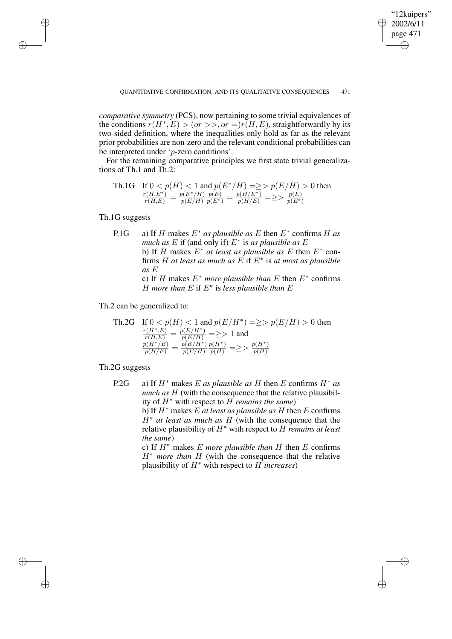*comparative symmetry* (PCS), now pertaining to some trivial equivalences of the conditions  $r(H^*, E) > (or >>, or =) r(H, E)$ , straightforwardly by its two-sided definition, where the inequalities only hold as far as the relevant prior probabilities are non-zero and the relevant conditional probabilities can be interpreted under 'p-zero conditions'.

For the remaining comparative principles we first state trivial generalizations of Th.1 and Th.2:

Th.1G If 
$$
0 < p(H) < 1
$$
 and  $p(E^*/H) = \geq > p(E/H) > 0$  then\n
$$
\frac{r(H,E^*)}{r(H,E)} = \frac{p(E^*/H)}{p(E/H)} \frac{p(E)}{p(E^*)} = \frac{p(H/E^*)}{p(H/E)} = \geq > \frac{p(E)}{p(E^*)}
$$

Th.1G suggests

✐

✐

✐

✐

P.1G a) If H makes  $E^*$  *as plausible as* E then  $E^*$  confirms H *as much as*  $E$  if (and only if)  $E^*$  is *as plausible as*  $E$ b) If H makes  $E^*$  *at least as plausible as* E then  $E^*$  confirms H *at least as much as* E if E<sup>∗</sup> is *at most as plausible as* E c) If H makes  $E^*$  *more plausible than* E then  $E^*$  confirms  $H$  *more than*  $E$  if  $E^*$  is *less plausible than*  $E$ 

Th.2 can be generalized to:

Th.2G If  $0 < p(H) < 1$  and  $p(E/H^*) = \geq > p(E/H) > 0$  then  $\frac{r(H^*,E)}{r(H,E)} = \frac{p(E/H^*)}{p(E/H)} = \ge 1$  and  $\frac{p(H^*/E)}{p(H/E)} = \frac{\stackrel{\_}{p(E/H^*)}}{p(E/H)}$  $p(E/H)$  $\frac{p(H^*)}{p(H)} = \geq$   $\geq \frac{p(H^*)}{p(H)}$  $p(H)$ 

Th.2G suggests

P.2G a) If  $H^*$  makes E as *plausible* as H then E confirms  $H^*$  as *much as* H (with the consequence that the relative plausibility of H<sup>∗</sup> with respect to H *remains the same*) b) If H<sup>∗</sup> makes E *at least as plausible as* H then E confirms H<sup>∗</sup> *at least as much as* H (with the consequence that the relative plausibility of H<sup>∗</sup> with respect to H *remains at least the same*)

c) If H<sup>∗</sup> makes E *more plausible than* H then E confirms H<sup>∗</sup> *more than* H (with the consequence that the relative plausibility of H<sup>∗</sup> with respect to H *increases*)

"12kuipers" 2002/6/11 page 471 ✐ ✐

✐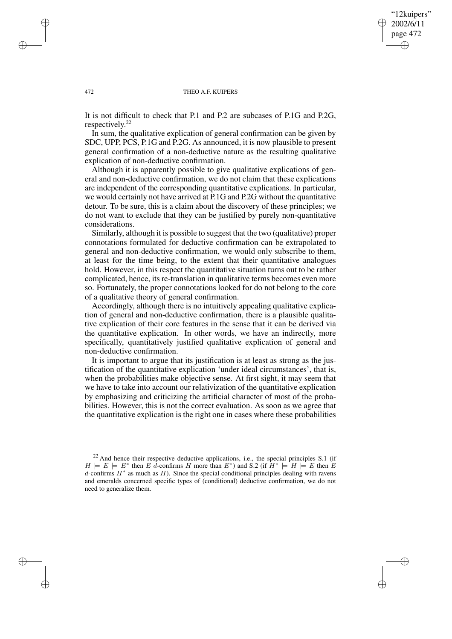"12kuipers" 2002/6/11 page 472 ✐ ✐

✐

✐

### 472 THEO A.F. KUIPERS

It is not difficult to check that P.1 and P.2 are subcases of P.1G and P.2G, respectively. 22

In sum, the qualitative explication of general confirmation can be given by SDC, UPP, PCS, P.1G and P.2G. As announced, it is now plausible to present general confirmation of a non-deductive nature as the resulting qualitative explication of non-deductive confirmation.

Although it is apparently possible to give qualitative explications of general and non-deductive confirmation, we do not claim that these explications are independent of the corresponding quantitative explications. In particular, we would certainly not have arrived at P.1G and P.2G without the quantitative detour. To be sure, this is a claim about the discovery of these principles; we do not want to exclude that they can be justified by purely non-quantitative considerations.

Similarly, although it is possible to suggest that the two (qualitative) proper connotations formulated for deductive confirmation can be extrapolated to general and non-deductive confirmation, we would only subscribe to them, at least for the time being, to the extent that their quantitative analogues hold. However, in this respect the quantitative situation turns out to be rather complicated, hence, its re-translation in qualitative terms becomes even more so. Fortunately, the proper connotations looked for do not belong to the core of a qualitative theory of general confirmation.

Accordingly, although there is no intuitively appealing qualitative explication of general and non-deductive confirmation, there is a plausible qualitative explication of their core features in the sense that it can be derived via the quantitative explication. In other words, we have an indirectly, more specifically, quantitatively justified qualitative explication of general and non-deductive confirmation.

It is important to argue that its justification is at least as strong as the justification of the quantitative explication 'under ideal circumstances', that is, when the probabilities make objective sense. At first sight, it may seem that we have to take into account our relativization of the quantitative explication by emphasizing and criticizing the artificial character of most of the probabilities. However, this is not the correct evaluation. As soon as we agree that the quantitative explication is the right one in cases where these probabilities

✐

✐

✐

 $^{22}$  And hence their respective deductive applications, i.e., the special principles S.1 (if  $H \models E \models E^*$  then E d-confirms H more than  $E^*$ ) and S.2 (if  $H^* \models H \models E$  then E d-confirms  $H^*$  as much as H). Since the special conditional principles dealing with ravens and emeralds concerned specific types of (conditional) deductive confirmation, we do not need to generalize them.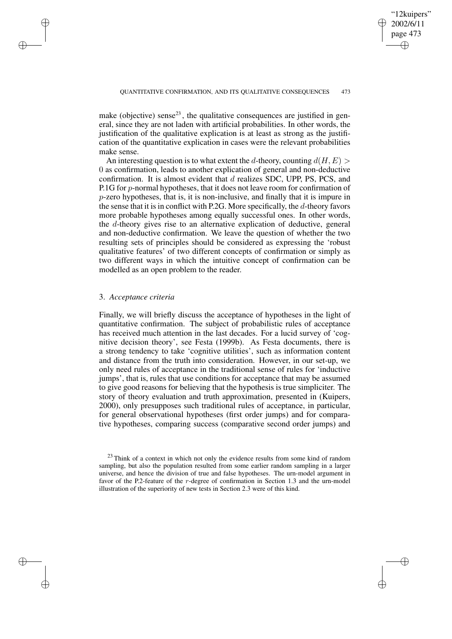✐

✐

✐

✐

make (objective) sense<sup>23</sup>, the qualitative consequences are justified in general, since they are not laden with artificial probabilities. In other words, the justification of the qualitative explication is at least as strong as the justification of the quantitative explication in cases were the relevant probabilities make sense.

An interesting question is to what extent the d-theory, counting  $d(H, E)$ 0 as confirmation, leads to another explication of general and non-deductive confirmation. It is almost evident that d realizes SDC, UPP, PS, PCS, and P.1G for *p*-normal hypotheses, that it does not leave room for confirmation of p-zero hypotheses, that is, it is non-inclusive, and finally that it is impure in the sense that it isin conflict with P.2G. More specifically, the d-theory favors more probable hypotheses among equally successful ones. In other words, the d-theory gives rise to an alternative explication of deductive, general and non-deductive confirmation. We leave the question of whether the two resulting sets of principles should be considered as expressing the 'robust qualitative features' of two different concepts of confirmation or simply as two different ways in which the intuitive concept of confirmation can be modelled as an open problem to the reader.

# 3. *Acceptance criteria*

✐

✐

✐

✐

Finally, we will briefly discuss the acceptance of hypotheses in the light of quantitative confirmation. The subject of probabilistic rules of acceptance has received much attention in the last decades. For a lucid survey of 'cognitive decision theory', see Festa (1999b). As Festa documents, there is a strong tendency to take 'cognitive utilities', such as information content and distance from the truth into consideration. However, in our set-up, we only need rules of acceptance in the traditional sense of rules for 'inductive jumps', that is, rules that use conditions for acceptance that may be assumed to give good reasons for believing that the hypothesis is true simpliciter. The story of theory evaluation and truth approximation, presented in (Kuipers, 2000), only presupposes such traditional rules of acceptance, in particular, for general observational hypotheses (first order jumps) and for comparative hypotheses, comparing success (comparative second order jumps) and

 $23$  Think of a context in which not only the evidence results from some kind of random sampling, but also the population resulted from some earlier random sampling in a larger universe, and hence the division of true and false hypotheses. The urn-model argument in favor of the P.2-feature of the r-degree of confirmation in Section 1.3 and the urn-model illustration of the superiority of new tests in Section 2.3 were of this kind.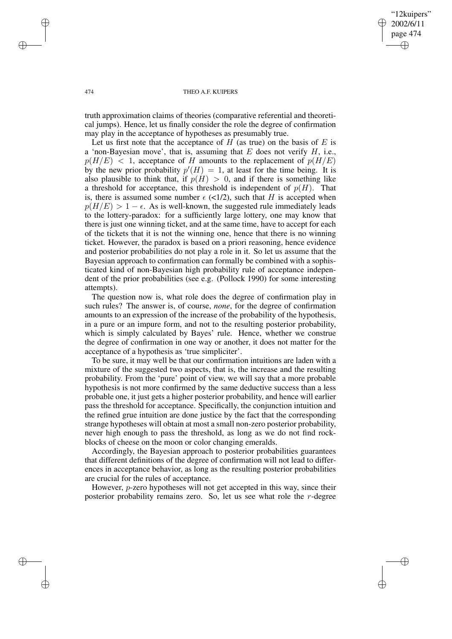"12kuipers" 2002/6/11 page 474 ✐ ✐

✐

✐

### 474 THEO A.F. KUIPERS

truth approximation claims of theories (comparative referential and theoretical jumps). Hence, let us finally consider the role the degree of confirmation may play in the acceptance of hypotheses as presumably true.

Let us first note that the acceptance of H (as true) on the basis of E is a 'non-Bayesian move', that is, assuming that  $E$  does not verify  $H$ , i.e.,  $p(H/E)$  < 1, acceptance of H amounts to the replacement of  $p(H/E)$ by the new prior probability  $p'(H) = 1$ , at least for the time being. It is also plausible to think that, if  $p(H) > 0$ , and if there is something like a threshold for acceptance, this threshold is independent of  $p(H)$ . That is, there is assumed some number  $\epsilon$  (<1/2), such that H is accepted when  $p(H/E) > 1 - \epsilon$ . As is well-known, the suggested rule immediately leads to the lottery-paradox: for a sufficiently large lottery, one may know that there is just one winning ticket, and at the same time, have to accept for each of the tickets that it is not the winning one, hence that there is no winning ticket. However, the paradox is based on a priori reasoning, hence evidence and posterior probabilities do not play a role in it. So let us assume that the Bayesian approach to confirmation can formally be combined with a sophisticated kind of non-Bayesian high probability rule of acceptance independent of the prior probabilities (see e.g. (Pollock 1990) for some interesting attempts).

The question now is, what role does the degree of confirmation play in such rules? The answer is, of course, *none*, for the degree of confirmation amounts to an expression of the increase of the probability of the hypothesis, in a pure or an impure form, and not to the resulting posterior probability, which is simply calculated by Bayes' rule. Hence, whether we construe the degree of confirmation in one way or another, it does not matter for the acceptance of a hypothesis as 'true simpliciter'.

To be sure, it may well be that our confirmation intuitions are laden with a mixture of the suggested two aspects, that is, the increase and the resulting probability. From the 'pure' point of view, we will say that a more probable hypothesis is not more confirmed by the same deductive success than a less probable one, it just gets a higher posterior probability, and hence will earlier pass the threshold for acceptance. Specifically, the conjunction intuition and the refined grue intuition are done justice by the fact that the corresponding strange hypotheses will obtain at most a small non-zero posterior probability, never high enough to pass the threshold, as long as we do not find rockblocks of cheese on the moon or color changing emeralds.

Accordingly, the Bayesian approach to posterior probabilities guarantees that different definitions of the degree of confirmation will not lead to differences in acceptance behavior, as long as the resulting posterior probabilities are crucial for the rules of acceptance.

However, p-zero hypotheses will not get accepted in this way, since their posterior probability remains zero. So, let us see what role the r-degree

✐

✐

✐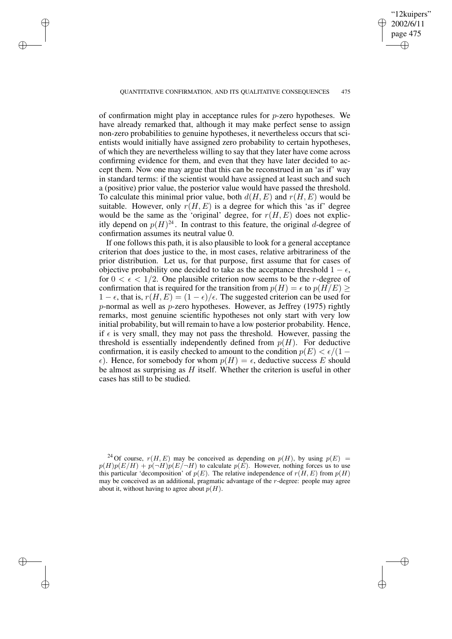✐

✐

✐

"12kuipers" 2002/6/11 page 475

✐

✐

✐

✐

of confirmation might play in acceptance rules for p-zero hypotheses. We have already remarked that, although it may make perfect sense to assign non-zero probabilities to genuine hypotheses, it nevertheless occurs that scientists would initially have assigned zero probability to certain hypotheses, of which they are nevertheless willing to say that they later have come across confirming evidence for them, and even that they have later decided to accept them. Now one may argue that this can be reconstrued in an 'as if' way in standard terms: if the scientist would have assigned at least such and such a (positive) prior value, the posterior value would have passed the threshold. To calculate this minimal prior value, both  $d(H, E)$  and  $r(H, E)$  would be suitable. However, only  $r(H, E)$  is a degree for which this 'as if' degree would be the same as the 'original' degree, for  $r(H, E)$  does not explicitly depend on  $p(H)^{24}$ . In contrast to this feature, the original d-degree of confirmation assumes its neutral value 0.

If one follows this path, it is also plausible to look for a general acceptance criterion that does justice to the, in most cases, relative arbitrariness of the prior distribution. Let us, for that purpose, first assume that for cases of objective probability one decided to take as the acceptance threshold  $1 - \epsilon$ , for  $0 < \epsilon < 1/2$ . One plausible criterion now seems to be the *r*-degree of confirmation that is required for the transition from  $p(H) = \epsilon$  to  $p(H/E)$  $1 - \epsilon$ , that is,  $r(H, E) = (1 - \epsilon)/\epsilon$ . The suggested criterion can be used for p-normal as well as p-zero hypotheses. However, as Jeffrey (1975) rightly remarks, most genuine scientific hypotheses not only start with very low initial probability, but will remain to have a low posterior probability. Hence, if  $\epsilon$  is very small, they may not pass the threshold. However, passing the threshold is essentially independently defined from  $p(H)$ . For deductive confirmation, it is easily checked to amount to the condition  $p(E) < \epsilon/(1 \epsilon$ ). Hence, for somebody for whom  $p(H) = \epsilon$ , deductive success E should be almost as surprising as  $H$  itself. Whether the criterion is useful in other cases has still to be studied.

<sup>24</sup> Of course,  $r(H, E)$  may be conceived as depending on  $p(H)$ , by using  $p(E)$  =  $p(H)p(E/H) + p(\neg H)p(E/\neg H)$  to calculate  $p(E)$ . However, nothing forces us to use this particular 'decomposition' of  $p(E)$ . The relative independence of  $r(H, E)$  from  $p(H)$ may be conceived as an additional, pragmatic advantage of the r-degree: people may agree about it, without having to agree about  $p(H)$ .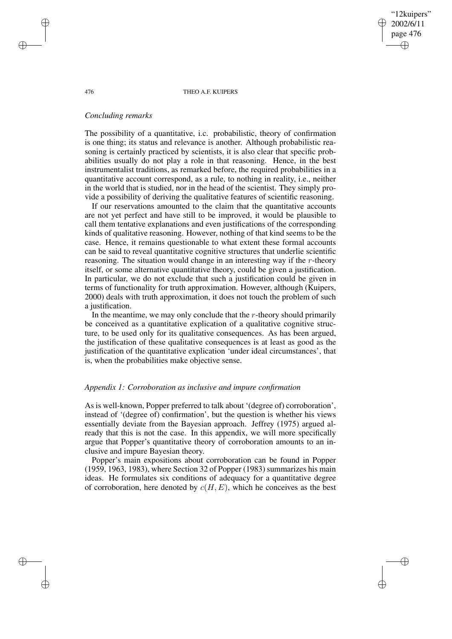476 THEO A.F. KUIPERS

"12kuipers" 2002/6/11 page 476

✐

✐

✐

✐

# *Concluding remarks*

The possibility of a quantitative, i.c. probabilistic, theory of confirmation is one thing; its status and relevance is another. Although probabilistic reasoning is certainly practiced by scientists, it is also clear that specific probabilities usually do not play a role in that reasoning. Hence, in the best instrumentalist traditions, as remarked before, the required probabilities in a quantitative account correspond, as a rule, to nothing in reality, i.e., neither in the world that is studied, nor in the head of the scientist. They simply provide a possibility of deriving the qualitative features of scientific reasoning.

If our reservations amounted to the claim that the quantitative accounts are not yet perfect and have still to be improved, it would be plausible to call them tentative explanations and even justifications of the corresponding kinds of qualitative reasoning. However, nothing of that kind seems to be the case. Hence, it remains questionable to what extent these formal accounts can be said to reveal quantitative cognitive structures that underlie scientific reasoning. The situation would change in an interesting way if the r-theory itself, or some alternative quantitative theory, could be given a justification. In particular, we do not exclude that such a justification could be given in terms of functionality for truth approximation. However, although (Kuipers, 2000) deals with truth approximation, it does not touch the problem of such a justification.

In the meantime, we may only conclude that the  $r$ -theory should primarily be conceived as a quantitative explication of a qualitative cognitive structure, to be used only for its qualitative consequences. As has been argued, the justification of these qualitative consequences is at least as good as the justification of the quantitative explication 'under ideal circumstances', that is, when the probabilities make objective sense.

# *Appendix 1: Corroboration as inclusive and impure confirmation*

As is well-known, Popper preferred to talk about '(degree of) corroboration', instead of '(degree of) confirmation', but the question is whether his views essentially deviate from the Bayesian approach. Jeffrey (1975) argued already that this is not the case. In this appendix, we will more specifically argue that Popper's quantitative theory of corroboration amounts to an inclusive and impure Bayesian theory.

Popper's main expositions about corroboration can be found in Popper (1959, 1963, 1983), where Section 32 of Popper (1983) summarizes his main ideas. He formulates six conditions of adequacy for a quantitative degree of corroboration, here denoted by  $c(H, E)$ , which he conceives as the best

✐

✐

✐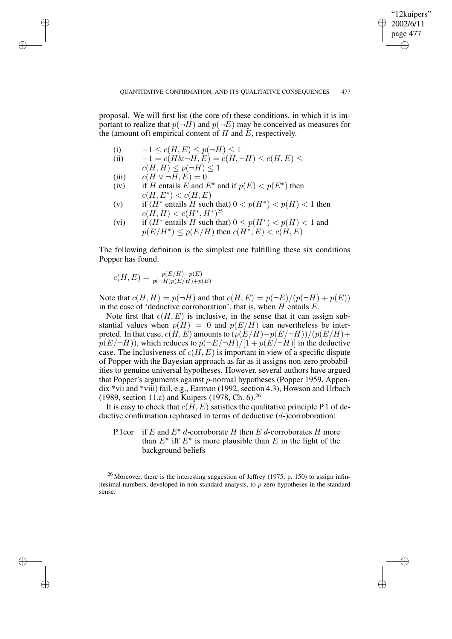✐

proposal. We will first list (the core of) these conditions, in which it is important to realize that  $p(\neg H)$  and  $p(\neg E)$  may be conceived as measures for the (amount of) empirical content of  $H$  and  $E$ , respectively.

- (i)  $-1 \le c(H, E) \le p(\neg H) \le 1$
- (ii)  $-1 = c(H \& \neg H, E) = c(H, \neg H) \leq c(H, E) \leq$
- $c(H, H) \leq p(\neg H) \leq 1$

✐

✐

✐

✐

- (iii)  $c(H \vee \neg H, E) = 0$ (iv) if H entails E and E<sup>\*</sup> and if  $p(E) < p(E^*)$  then
- $c(H, E^*) < c(H, E)$
- (v) if  $(H^*$  entails H such that)  $0 < p(H^*) < p(H) < 1$  then  $c(H,H) < c(H^*, H^*)^{25}$
- (vi) if  $(H^*$  entails H such that)  $0 \le p(H^*) < p(H) < 1$  and  $p(E/H^*) \leq p(E/H)$  then  $c(H^*, E) < c(H, E)$

The following definition is the simplest one fulfilling these six conditions Popper has found.

$$
c(H,E) = \frac{p(E/H) - p(E)}{p(\neg H)p(E/H) + p(E)}
$$

Note that  $c(H, H) = p(\neg H)$  and that  $c(H, E) = p(\neg E)/(p(\neg H) + p(E))$ in the case of 'deductive corroboration', that is, when  $H$  entails  $E$ .

Note first that  $c(H, E)$  is inclusive, in the sense that it can assign substantial values when  $p(H) = 0$  and  $p(E/H)$  can nevertheless be interpreted. In that case,  $c(H, E)$  amounts to  $\frac{p(E/H)-p(E/\neg H)}{p(E/H)}+\frac{p(E/\neg H)}{p(E/\neg H)}$  $p(E/\neg H)$ , which reduces to  $p(\neg E/\neg H)/[1 + p(E/\neg H)]$  in the deductive case. The inclusiveness of  $c(H, E)$  is important in view of a specific dispute of Popper with the Bayesian approach as far as it assigns non-zero probabilities to genuine universal hypotheses. However, several authors have argued that Popper's arguments against p-normal hypotheses (Popper 1959, Appendix \*vii and \*viii) fail, e.g., Earman (1992, section 4.3), Howson and Urbach (1989, section 11.c) and Kuipers (1978, Ch. 6).<sup>26</sup>

It is easy to check that  $c(H, E)$  satisfies the qualitative principle P.1 of deductive confirmation rephrased in terms of deductive (d-)corroboration:

P.1cor if E and  $E^*$  d-corroborate H then E d-corroborates H more than  $E^*$  iff  $E^*$  is more plausible than  $E$  in the light of the background beliefs

 $^{26}$  Moreover, there is the interesting suggestion of Jeffrey (1975, p. 150) to assign infinitesimal numbers, developed in non-standard analysis, to p-zero hypotheses in the standard sense.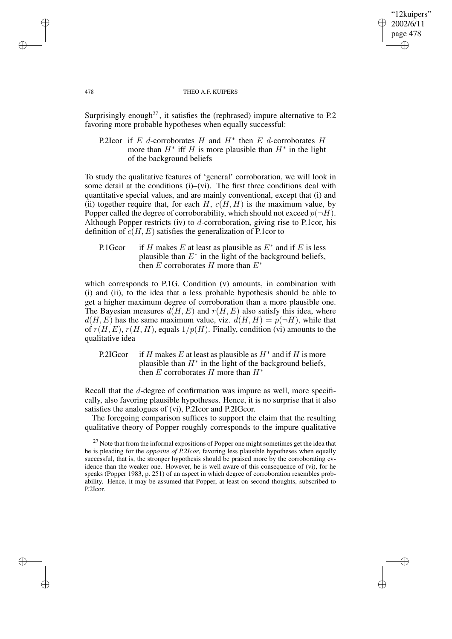### 478 THEO A.F. KUIPERS

'12kuipers" 2002/6/11 page 478

✐

✐

✐

✐

Surprisingly enough<sup>27</sup>, it satisfies the (rephrased) impure alternative to P.2 favoring more probable hypotheses when equally successful:

P.2Icor if E d-corroborates H and  $H^*$  then E d-corroborates H more than  $H^*$  iff H is more plausible than  $H^*$  in the light of the background beliefs

To study the qualitative features of 'general' corroboration, we will look in some detail at the conditions  $(i)$ – $(vi)$ . The first three conditions deal with quantitative special values, and are mainly conventional, except that (i) and (ii) together require that, for each H,  $c(H, H)$  is the maximum value, by Popper called the degree of corroborability, which should not exceed  $p(\neg H)$ . Although Popper restricts (iv) to  $d$ -corroboration, giving rise to P.1cor, his definition of  $c(H, E)$  satisfies the generalization of P.1cor to

P.1Gcor if H makes E at least as plausible as  $E^*$  and if E is less plausible than  $E^*$  in the light of the background beliefs, then E corroborates H more than  $E^*$ 

which corresponds to P.1G. Condition (v) amounts, in combination with (i) and (ii), to the idea that a less probable hypothesis should be able to get a higher maximum degree of corroboration than a more plausible one. The Bayesian measures  $d(H, E)$  and  $r(H, E)$  also satisfy this idea, where  $d(H, E)$  has the same maximum value, viz.  $d(H, H) = p(\neg H)$ , while that of  $r(H, E)$ ,  $r(H, H)$ , equals  $1/p(H)$ . Finally, condition (vi) amounts to the qualitative idea

P.2IGcor if H makes E at least as plausible as  $H^*$  and if H is more plausible than  $H^*$  in the light of the background beliefs, then E corroborates H more than  $H^*$ 

Recall that the d-degree of confirmation was impure as well, more specifically, also favoring plausible hypotheses. Hence, it is no surprise that it also satisfies the analogues of (vi), P.2Icor and P.2IGcor.

The foregoing comparison suffices to support the claim that the resulting qualitative theory of Popper roughly corresponds to the impure qualitative

✐

✐

✐

<sup>&</sup>lt;sup>27</sup> Note that from the informal expositions of Popper one might sometimes get the idea that he is pleading for the *opposite of P.2Icor*, favoring less plausible hypotheses when equally successful, that is, the stronger hypothesis should be praised more by the corroborating evidence than the weaker one. However, he is well aware of this consequence of (vi), for he speaks (Popper 1983, p. 251) of an aspect in which degree of corroboration resembles probability. Hence, it may be assumed that Popper, at least on second thoughts, subscribed to P.2Icor.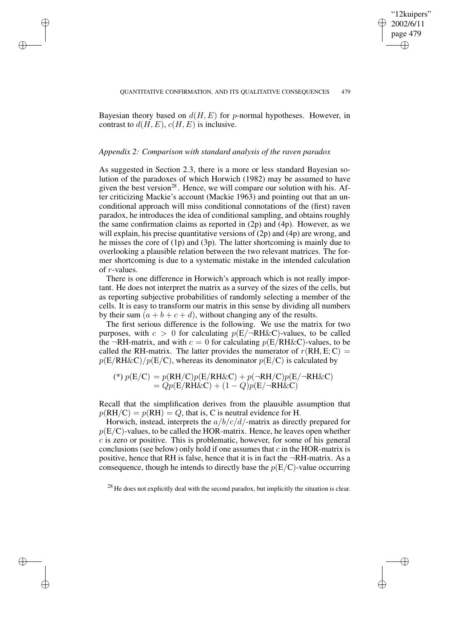✐

✐

✐

✐

Bayesian theory based on  $d(H, E)$  for p-normal hypotheses. However, in contrast to  $d(H, E)$ ,  $c(H, E)$  is inclusive.

# *Appendix 2: Comparison with standard analysis of the raven paradox*

✐

✐

✐

✐

As suggested in Section 2.3, there is a more or less standard Bayesian solution of the paradoxes of which Horwich (1982) may be assumed to have given the best version<sup>28</sup>. Hence, we will compare our solution with his. After criticizing Mackie's account (Mackie 1963) and pointing out that an unconditional approach will miss conditional connotations of the (first) raven paradox, he introduces the idea of conditional sampling, and obtains roughly the same confirmation claims as reported in (2p) and (4p). However, as we will explain, his precise quantitative versions of (2p) and (4p) are wrong, and he misses the core of (1p) and (3p). The latter shortcoming is mainly due to overlooking a plausible relation between the two relevant matrices. The former shortcoming is due to a systematic mistake in the intended calculation of r-values.

There is one difference in Horwich's approach which is not really important. He does not interpret the matrix as a survey of the sizes of the cells, but as reporting subjective probabilities of randomly selecting a member of the cells. It is easy to transform our matrix in this sense by dividing all numbers by their sum  $(a + b + c + d)$ , without changing any of the results.

The first serious difference is the following. We use the matrix for two purposes, with  $c > 0$  for calculating  $p(E/\neg RH\&C)$ -values, to be called the  $\neg$ RH-matrix, and with  $c = 0$  for calculating  $p(E/RH\&C)$ -values, to be called the RH-matrix. The latter provides the numerator of  $r(RH, E; C)$  =  $p(E/RH\&C)/p(E/C)$ , whereas its denominator  $p(E/C)$  is calculated by

$$
P(E/C) = p(RH/C)p(E/RH\&C) + p(\neg RH/C)p(E/\neg RH\&C)
$$
  
=  $Qp(E/RH\&C) + (1-Q)p(E/\neg RH\&C)$ 

Recall that the simplification derives from the plausible assumption that  $p(RH/C) = p(RH) = Q$ , that is, C is neutral evidence for H.

Horwich, instead, interprets the  $a/b/c/d$  -matrix as directly prepared for  $p(E/C)$ -values, to be called the HOR-matrix. Hence, he leaves open whether  $c$  is zero or positive. This is problematic, however, for some of his general conclusions (see below) only hold if one assumes that  $c$  in the HOR-matrix is positive, hence that RH is false, hence that it is in fact the  $\neg RH$ -matrix. As a consequence, though he intends to directly base the  $p(E/C)$ -value occurring

 $28$  He does not explicitly deal with the second paradox, but implicitly the situation is clear.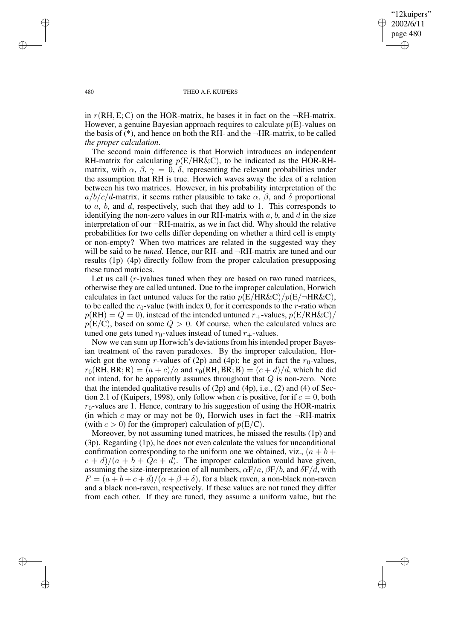"12kuipers" 2002/6/11 page 480 ✐ ✐

✐

✐

### 480 THEO A.F. KUIPERS

in  $r(RH, E; C)$  on the HOR-matrix, he bases it in fact on the  $\neg RH$ -matrix. However, a genuine Bayesian approach requires to calculate  $p(E)$ -values on the basis of  $(*)$ , and hence on both the RH- and the  $\neg$ HR-matrix, to be called *the proper calculation*.

The second main difference is that Horwich introduces an independent RH-matrix for calculating  $p(E/HR\&C)$ , to be indicated as the HOR-RHmatrix, with  $\alpha$ ,  $\beta$ ,  $\gamma = 0$ ,  $\delta$ , representing the relevant probabilities under the assumption that RH is true. Horwich waves away the idea of a relation between his two matrices. However, in his probability interpretation of the  $a/b/c/d$ -matrix, it seems rather plausible to take  $\alpha$ ,  $\beta$ , and  $\delta$  proportional to a, b, and d, respectively, such that they add to 1. This corresponds to identifying the non-zero values in our RH-matrix with  $a, b$ , and  $d$  in the size interpretation of our  $\neg$ RH-matrix, as we in fact did. Why should the relative probabilities for two cells differ depending on whether a third cell is empty or non-empty? When two matrices are related in the suggested way they will be said to be *tuned*. Hence, our RH- and ¬RH-matrix are tuned and our results (1p)–(4p) directly follow from the proper calculation presupposing these tuned matrices.

Let us call  $(r-)$  values tuned when they are based on two tuned matrices. otherwise they are called untuned. Due to the improper calculation, Horwich calculates in fact untuned values for the ratio  $p(E/HR\&C)/p(E/\neg HR\&C)$ , to be called the  $r_0$ -value (with index 0, for it corresponds to the r-ratio when  $p(RH) = Q = 0$ , instead of the intended untuned  $r_{+}$ -values,  $p(E/RH \& C)$  $p(E/C)$ , based on some  $Q > 0$ . Of course, when the calculated values are tuned one gets tuned  $r_0$ -values instead of tuned  $r_+$ -values.

Now we can sum up Horwich's deviations from his intended proper Bayesian treatment of the raven paradoxes. By the improper calculation, Horwich got the wrong r-values of (2p) and (4p); he got in fact the  $r_0$ -values,  $r_0(RH, BR; R) = (a + c)/a$  and  $r_0(RH, \overline{BR}; \overline{B}) = (c + d)/d$ , which he did not intend, for he apparently assumes throughout that  $Q$  is non-zero. Note that the intended qualitative results of  $(2p)$  and  $(4p)$ , i.e.,  $(2)$  and  $(4)$  of Section 2.1 of (Kuipers, 1998), only follow when c is positive, for if  $c = 0$ , both  $r_0$ -values are 1. Hence, contrary to his suggestion of using the HOR-matrix (in which c may or may not be 0), Horwich uses in fact the  $\neg RH$ -matrix (with  $c > 0$ ) for the (improper) calculation of  $p(E/C)$ .

Moreover, by not assuming tuned matrices, he missed the results (1p) and (3p). Regarding (1p), he does not even calculate the values for unconditional confirmation corresponding to the uniform one we obtained, viz.,  $(a + b + b)$  $(c + d)/(a + b + \overline{Q}c + d)$ . The improper calculation would have given, assuming the size-interpretation of all numbers,  $\alpha F/a$ ,  $\beta F/b$ , and  $\delta F/d$ , with  $F = (a + b + c + d)/(\alpha + \beta + \delta)$ , for a black raven, a non-black non-raven and a black non-raven, respectively. If these values are not tuned they differ from each other. If they are tuned, they assume a uniform value, but the

✐

✐

✐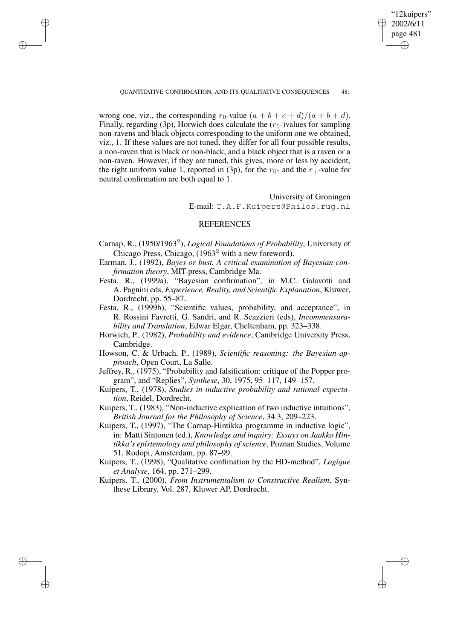✐

✐

✐

wrong one, viz., the corresponding  $r_0$ -value  $(a + b + c + d)/(a + b + d)$ . Finally, regarding (3p), Horwich does calculate the  $(r_0-)$ values for sampling non-ravens and black objects corresponding to the uniform one we obtained, viz., 1. If these values are not tuned, they differ for all four possible results, a non-raven that is black or non-black, and a black object that is a raven or a non-raven. However, if they are tuned, this gives, more or less by accident, the right uniform value 1, reported in (3p), for the  $r_0$ - and the  $r_+$ -value for neutral confirmation are both equal to 1.

> University of Groningen E-mail: T.A.F.Kuipers@Philos.rug.nl

"12kuipers" 2002/6/11 page 481

✐

✐

✐

✐

## REFERENCES

- Carnap, R., (1950/1963<sup>2</sup> ), *Logical Foundations of Probability*, University of Chicago Press, Chicago,  $(1963<sup>2</sup>$  with a new foreword).
- Earman, J., (1992), *Bayes or bust. A critical examination of Bayesian confirmation theory*, MIT-press, Cambridge Ma.
- Festa, R., (1999a), "Bayesian confirmation", in M.C. Galavotti and A. Pagnini eds, *Experience, Reality, and Scientific Explanation*, Kluwer, Dordrecht, pp. 55–87.
- Festa, R., (1999b), "Scientific values, probability, and acceptance", in R. Rossini Favretti, G. Sandri, and R. Scazzieri (eds), *Incommensurability and Translation*, Edwar Elgar, Cheltenham, pp. 323–338.
- Horwich, P., (1982), *Probability and evidence*, Cambridge University Press, Cambridge.
- Howson, C. & Urbach, P., (1989), *Scientific reasoning: the Bayesian approach*, Open Court, La Salle.
- Jeffrey, R., (1975), "Probability and falsification: critique of the Popper program", and "Replies", *Synthese*, 30, 1975, 95–117, 149–157.
- Kuipers, T., (1978), *Studies in inductive probability and rational expectation*, Reidel, Dordrecht.
- Kuipers, T., (1983), "Non-inductive explication of two inductive intuitions", *British Journal for the Philosophy of Science*, 34.3, 209–223.
- Kuipers, T., (1997), "The Carnap-Hintikka programme in inductive logic", in: Matti Sintonen (ed.), *Knowledge and inquiry: Essays on Jaakko Hintikka's epistemology and philosophy of science*, Poznan Studies, Volume 51, Rodopi, Amsterdam, pp. 87–99.
- Kuipers, T., (1998), "Qualitative confimation by the HD-method", *Logique et Analyse*, 164, pp. 271–299.
- Kuipers, T., (2000), *From Instrumentalism to Constructive Realism*, Synthese Library, Vol. 287, Kluwer AP, Dordrecht.